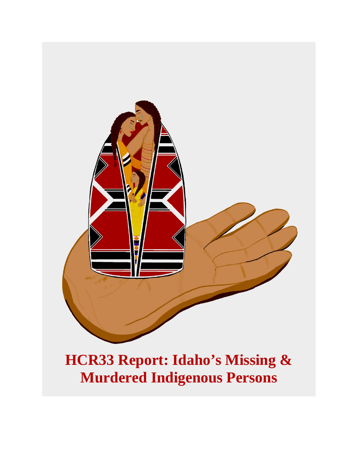

# **HCR33 Report: Idaho's Missing & Murdered Indigenous Persons**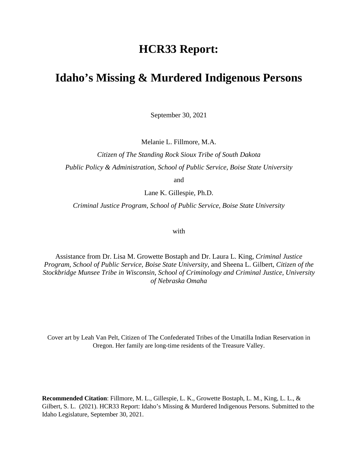### **HCR33 Report:**

### **Idaho's Missing & Murdered Indigenous Persons**

September 30, 2021

Melanie L. Fillmore, M.A.

*Citizen of The Standing Rock Sioux Tribe of South Dakota Public Policy & Administration, School of Public Service, Boise State University*

and

Lane K. Gillespie, Ph.D.

*Criminal Justice Program*, *School of Public Service, Boise State University*

with

Assistance from Dr. Lisa M. Growette Bostaph and Dr. Laura L. King, *Criminal Justice Program*, *School of Public Service, Boise State University*, and Sheena L. Gilbert, *Citizen of the Stockbridge Munsee Tribe in Wisconsin*, *School of Criminology and Criminal Justice*, *University of Nebraska Omaha*

Cover art by Leah Van Pelt, Citizen of The Confederated Tribes of the Umatilla Indian Reservation in Oregon. Her family are long-time residents of the Treasure Valley.

**Recommended Citation**: Fillmore, M. L., Gillespie, L. K., Growette Bostaph, L. M., King, L. L., & Gilbert, S. L. (2021). HCR33 Report: Idaho's Missing & Murdered Indigenous Persons. Submitted to the Idaho Legislature, September 30, 2021.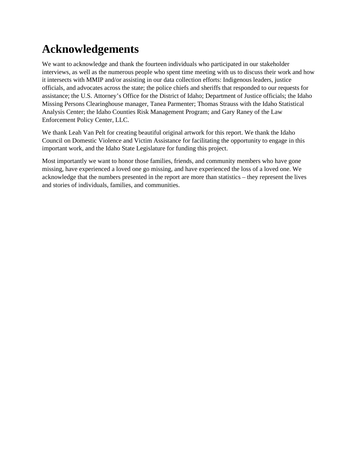## **Acknowledgements**

We want to acknowledge and thank the fourteen individuals who participated in our stakeholder interviews, as well as the numerous people who spent time meeting with us to discuss their work and how it intersects with MMIP and/or assisting in our data collection efforts: Indigenous leaders, justice officials, and advocates across the state; the police chiefs and sheriffs that responded to our requests for assistance; the U.S. Attorney's Office for the District of Idaho; Department of Justice officials; the Idaho Missing Persons Clearinghouse manager, Tanea Parmenter; Thomas Strauss with the Idaho Statistical Analysis Center; the Idaho Counties Risk Management Program; and Gary Raney of the Law Enforcement Policy Center, LLC.

We thank Leah Van Pelt for creating beautiful original artwork for this report. We thank the Idaho Council on Domestic Violence and Victim Assistance for facilitating the opportunity to engage in this important work, and the Idaho State Legislature for funding this project.

Most importantly we want to honor those families, friends, and community members who have gone missing, have experienced a loved one go missing, and have experienced the loss of a loved one. We acknowledge that the numbers presented in the report are more than statistics – they represent the lives and stories of individuals, families, and communities.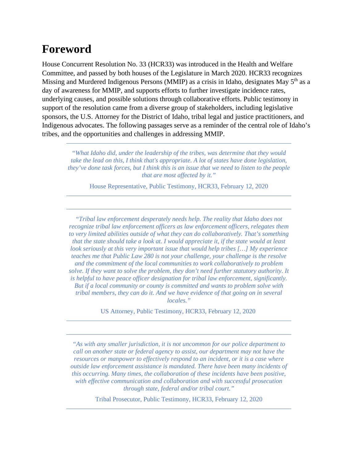### **Foreword**

House Concurrent Resolution No. 33 (HCR33) was introduced in the Health and Welfare Committee, and passed by both houses of the Legislature in March 2020. HCR33 recognizes Missing and Murdered Indigenous Persons (MMIP) as a crisis in Idaho, designates May 5<sup>th</sup> as a day of awareness for MMIP, and supports efforts to further investigate incidence rates, underlying causes, and possible solutions through collaborative efforts. Public testimony in support of the resolution came from a diverse group of stakeholders, including legislative sponsors, the U.S. Attorney for the District of Idaho, tribal legal and justice practitioners, and Indigenous advocates. The following passages serve as a reminder of the central role of Idaho's tribes, and the opportunities and challenges in addressing MMIP.

*"What Idaho did, under the leadership of the tribes, was determine that they would take the lead on this, I think that's appropriate. A lot of states have done legislation, they've done task forces, but I think this is an issue that we need to listen to the people that are most affected by it."* 

House Representative, Public Testimony, HCR33, February 12, 2020

*"Tribal law enforcement desperately needs help. The reality that Idaho does not recognize tribal law enforcement officers as law enforcement officers, relegates them to very limited abilities outside of what they can do collaboratively. That's something that the state should take a look at. I would appreciate it, if the state would at least look seriously at this very important issue that would help tribes […] My experience teaches me that Public Law 280 is not your challenge, your challenge is the resolve and the commitment of the local communities to work collaboratively to problem solve. If they want to solve the problem, they don't need further statutory authority. It is helpful to have peace officer designation for tribal law enforcement, significantly. But if a local community or county is committed and wants to problem solve with tribal members, they can do it. And we have evidence of that going on in several locales."*

US Attorney, Public Testimony, HCR33, February 12, 2020

*"As with any smaller jurisdiction, it is not uncommon for our police department to call on another state or federal agency to assist, our department may not have the resources or manpower to effectively respond to an incident, or it is a case where outside law enforcement assistance is mandated. There have been many incidents of this occurring. Many times, the collaboration of these incidents have been positive, with effective communication and collaboration and with successful prosecution through state, federal and/or tribal court."*

Tribal Prosecutor, Public Testimony, HCR33, February 12, 2020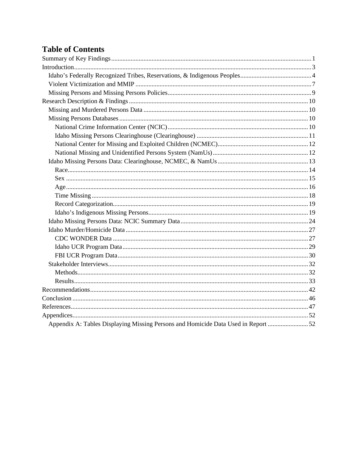### **Table of Contents**

| Appendix A: Tables Displaying Missing Persons and Homicide Data Used in Report 52 |  |
|-----------------------------------------------------------------------------------|--|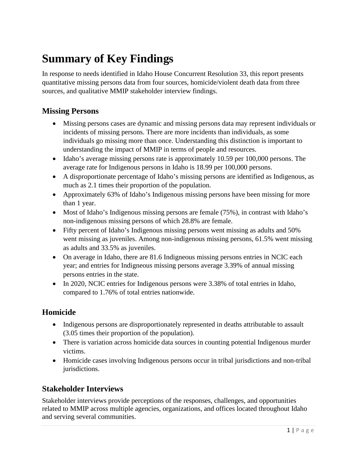## <span id="page-5-0"></span>**Summary of Key Findings**

In response to needs identified in Idaho House Concurrent Resolution 33, this report presents quantitative missing persons data from four sources, homicide/violent death data from three sources, and qualitative MMIP stakeholder interview findings.

#### **Missing Persons**

- Missing persons cases are dynamic and missing persons data may represent individuals or incidents of missing persons. There are more incidents than individuals, as some individuals go missing more than once. Understanding this distinction is important to understanding the impact of MMIP in terms of people and resources.
- Idaho's average missing persons rate is approximately 10.59 per 100,000 persons. The average rate for Indigenous persons in Idaho is 18.99 per 100,000 persons.
- A disproportionate percentage of Idaho's missing persons are identified as Indigenous, as much as 2.1 times their proportion of the population.
- Approximately 63% of Idaho's Indigenous missing persons have been missing for more than 1 year.
- Most of Idaho's Indigenous missing persons are female (75%), in contrast with Idaho's non-indigenous missing persons of which 28.8% are female.
- Fifty percent of Idaho's Indigenous missing persons went missing as adults and 50% went missing as juveniles. Among non-indigenous missing persons, 61.5% went missing as adults and 33.5% as juveniles.
- On average in Idaho, there are 81.6 Indigneous missing persons entries in NCIC each year; and entries for Indigneous missing persons average 3.39% of annual missing persons entries in the state.
- In 2020, NCIC entries for Indigenous persons were 3.38% of total entries in Idaho, compared to 1.76% of total entries nationwide.

#### **Homicide**

- Indigenous persons are disproportionately represented in deaths attributable to assault (3.05 times their proportion of the population).
- There is variation across homicide data sources in counting potential Indigenous murder victims.
- Homicide cases involving Indigenous persons occur in tribal jurisdictions and non-tribal jurisdictions.

#### **Stakeholder Interviews**

Stakeholder interviews provide perceptions of the responses, challenges, and opportunities related to MMIP across multiple agencies, organizations, and offices located throughout Idaho and serving several communities.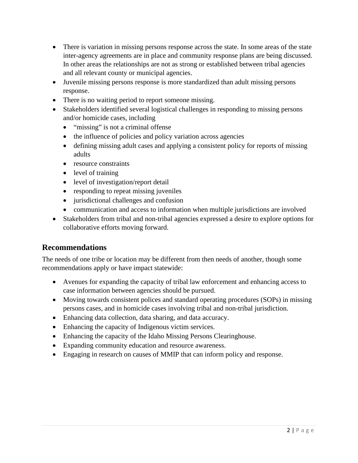- There is variation in missing persons response across the state. In some areas of the state inter-agency agreements are in place and community response plans are being discussed. In other areas the relationships are not as strong or established between tribal agencies and all relevant county or municipal agencies.
- Juvenile missing persons response is more standardized than adult missing persons response.
- There is no waiting period to report someone missing.
- Stakeholders identified several logistical challenges in responding to missing persons and/or homicide cases, including
	- "missing" is not a criminal offense
	- the influence of policies and policy variation across agencies
	- defining missing adult cases and applying a consistent policy for reports of missing adults
	- resource constraints
	- level of training
	- level of investigation/report detail
	- responding to repeat missing juveniles
	- jurisdictional challenges and confusion
	- communication and access to information when multiple jurisdictions are involved
- Stakeholders from tribal and non-tribal agencies expressed a desire to explore options for collaborative efforts moving forward.

#### **Recommendations**

The needs of one tribe or location may be different from then needs of another, though some recommendations apply or have impact statewide:

- Avenues for expanding the capacity of tribal law enforcement and enhancing access to case information between agencies should be pursued.
- Moving towards consistent polices and standard operating procedures (SOPs) in missing persons cases, and in homicide cases involving tribal and non-tribal jurisdiction.
- Enhancing data collection, data sharing, and data accuracy.
- Enhancing the capacity of Indigenous victim services.
- Enhancing the capacity of the Idaho Missing Persons Clearinghouse.
- Expanding community education and resource awareness.
- Engaging in research on causes of MMIP that can inform policy and response.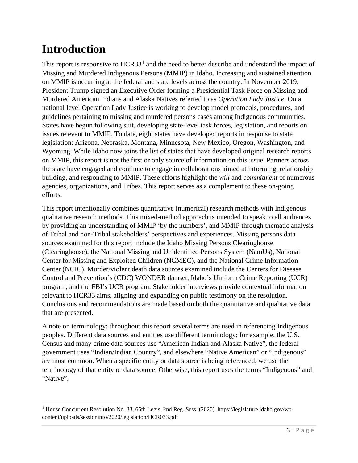## <span id="page-7-0"></span>**Introduction**

This report is responsive to  $HCR33<sup>1</sup>$  $HCR33<sup>1</sup>$  $HCR33<sup>1</sup>$  and the need to better describe and understand the impact of Missing and Murdered Indigenous Persons (MMIP) in Idaho. Increasing and sustained attention on MMIP is occurring at the federal and state levels across the country. In November 2019, President Trump signed an Executive Order forming a Presidential Task Force on Missing and Murdered American Indians and Alaska Natives referred to as *Operation Lady Justice*. On a national level Operation Lady Justice is working to develop model protocols, procedures, and guidelines pertaining to missing and murdered persons cases among Indigenous communities. States have begun following suit, developing state-level task forces, legislation, and reports on issues relevant to MMIP. To date, eight states have developed reports in response to state legislation: Arizona, Nebraska, Montana, Minnesota, New Mexico, Oregon, Washington, and Wyoming. While Idaho now joins the list of states that have developed original research reports on MMIP, this report is not the first or only source of information on this issue. Partners across the state have engaged and continue to engage in collaborations aimed at informing, relationship building, and responding to MMIP. These efforts highlight the *will* and *commitment* of numerous agencies, organizations, and Tribes. This report serves as a complement to these on-going efforts.

This report intentionally combines quantitative (numerical) research methods with Indigenous qualitative research methods. This mixed-method approach is intended to speak to all audiences by providing an understanding of MMIP 'by the numbers', and MMIP through thematic analysis of Tribal and non-Tribal stakeholders' perspectives and experiences. Missing persons data sources examined for this report include the Idaho Missing Persons Clearinghouse (Clearinghouse), the National Missing and Unidentified Persons System (NamUs), National Center for Missing and Exploited Children (NCMEC), and the National Crime Information Center (NCIC). Murder/violent death data sources examined include the Centers for Disease Control and Prevention's (CDC) WONDER dataset, Idaho's Uniform Crime Reporting (UCR) program, and the FBI's UCR program. Stakeholder interviews provide contextual information relevant to HCR33 aims, aligning and expanding on public testimony on the resolution. Conclusions and recommendations are made based on both the quantitative and qualitative data that are presented.

A note on terminology: throughout this report several terms are used in referencing Indigenous peoples. Different data sources and entities use different terminology; for example, the U.S. Census and many crime data sources use "American Indian and Alaska Native", the federal government uses "Indian/Indian Country", and elsewhere "Native American" or "Indigenous" are most common. When a specific entity or data source is being referenced, we use the terminology of that entity or data source. Otherwise, this report uses the terms "Indigenous" and "Native".

<span id="page-7-1"></span><sup>1</sup> House Concurrent Resolution No. 33, 65th Legis. 2nd Reg. Sess. (2020). https://legislature.idaho.gov/wpcontent/uploads/sessioninfo/2020/legislation/HCR033.pdf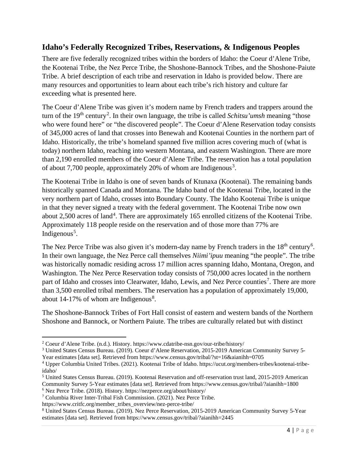#### <span id="page-8-0"></span>**Idaho's Federally Recognized Tribes, Reservations, & Indigenous Peoples**

There are five federally recognized tribes within the borders of Idaho: the Coeur d'Alene Tribe, the Kootenai Tribe, the Nez Perce Tribe, the Shoshone-Bannock Tribes, and the Shoshone-Paiute Tribe. A brief description of each tribe and reservation in Idaho is provided below. There are many resources and opportunities to learn about each tribe's rich history and culture far exceeding what is presented here.

The Coeur d'Alene Tribe was given it's modern name by French traders and trappers around the turn of the 19<sup>th</sup> century<sup>[2](#page-8-1)</sup>. In their own language, the tribe is called *Schitsu'umsh* meaning "those who were found here" or "the discovered people". The Coeur d'Alene Reservation today consists of 345,000 acres of land that crosses into Benewah and Kootenai Counties in the northern part of Idaho. Historically, the tribe's homeland spanned five million acres covering much of (what is today) northern Idaho, reaching into western Montana, and eastern Washington. There are more than 2,190 enrolled members of the Coeur d'Alene Tribe. The reservation has a total population of about 7,700 people, approximately 20% of whom are Indigenous<sup>[3](#page-8-2)</sup>.

The Kootenai Tribe in Idaho is one of seven bands of Ktunaxa (Kootenai). The remaining bands historically spanned Canada and Montana. The Idaho band of the Kootenai Tribe, located in the very northern part of Idaho, crosses into Boundary County. The Idaho Kootenai Tribe is unique in that they never signed a treaty with the federal government. The Kootenai Tribe now own about 2,500 acres of land<sup>[4](#page-8-3)</sup>. There are approximately 165 enrolled citizens of the Kootenai Tribe. Approximately 118 people reside on the reservation and of those more than 77% are Indigenous<sup>[5](#page-8-4)</sup>.

The Nez Perce Tribe was also given it's modern-day name by French traders in the  $18<sup>th</sup>$  century<sup>[6](#page-8-5)</sup>. In their own language, the Nez Perce call themselves *Niimi'ipuu* meaning "the people". The tribe was historically nomadic residing across 17 million acres spanning Idaho, Montana, Oregon, and Washington. The Nez Perce Reservation today consists of 750,000 acres located in the northern part of Idaho and crosses into Clearwater, Idaho, Lewis, and Nez Perce counties<sup>[7](#page-8-6)</sup>. There are more than 3,500 enrolled tribal members. The reservation has a population of approximately 19,000, about  $14-17\%$  of whom are Indigenous<sup>[8](#page-8-7)</sup>.

The Shoshone-Bannock Tribes of Fort Hall consist of eastern and western bands of the Northern Shoshone and Bannock, or Northern Paiute. The tribes are culturally related but with distinct

<span id="page-8-1"></span><sup>2</sup> Coeur d'Alene Tribe. (n.d.). History. https://www.cdatribe-nsn.gov/our-tribe/history/

<span id="page-8-2"></span><sup>3</sup> United States Census Bureau. (2019). Coeur d'Alene Reservation, 2015-2019 American Community Survey 5-

Year estimates [data set]. Retrieved from https://www.census.gov/tribal/?st=16&aianihh=0705

<span id="page-8-3"></span><sup>4</sup> Upper Columbia United Tribes. (2021). Kootenai Tribe of Idaho. https://ucut.org/members-tribes/kootenai-tribeidaho/

<span id="page-8-4"></span><sup>5</sup> United States Census Bureau. (2019). Kootenai Reservation and off-reservation trust land, 2015-2019 American Community Survey 5-Year estimates [data set]. Retrieved from https://www.census.gov/tribal/?aianihh=1800

<span id="page-8-5"></span><sup>6</sup> Nez Perce Tribe. (2018). History. https://nezperce.org/about/history/

<span id="page-8-6"></span><sup>7</sup> Columbia River Inter-Tribal Fish Commission. (2021). Nez Perce Tribe.

https://www.critfc.org/member\_tribes\_overview/nez-perce-tribe/

<span id="page-8-7"></span><sup>8</sup> United States Census Bureau. (2019). Nez Perce Reservation, 2015-2019 American Community Survey 5-Year estimates [data set]. Retrieved from https://www.census.gov/tribal/?aianihh=2445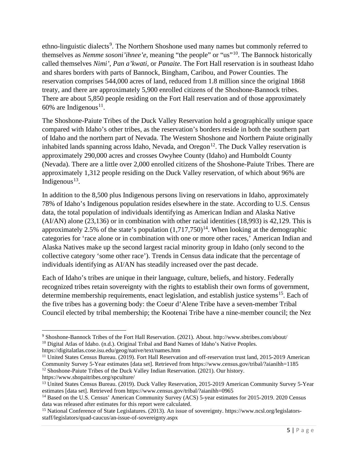ethno-linguistic dialects<sup>[9](#page-9-0)</sup>. The Northern Shoshone used many names but commonly referred to themselves as *Nemme sosoni'ihnee'e*, meaning "the people" or "us"[10](#page-9-1). The Bannock historically called themselves *Nimi'*, *Pan a'kwati*, or *Panaite*. The Fort Hall reservation is in southeast Idaho and shares borders with parts of Bannock, Bingham, Caribou, and Power Counties. The reservation comprises 544,000 acres of land, reduced from 1.8 million since the original 1868 treaty, and there are approximately 5,900 enrolled citizens of the Shoshone-Bannock tribes. There are about 5,850 people residing on the Fort Hall reservation and of those approximately 60% are Indigenous<sup>11</sup>.

The Shoshone-Paiute Tribes of the Duck Valley Reservation hold a geographically unique space compared with Idaho's other tribes, as the reservation's borders reside in both the southern part of Idaho and the northern part of Nevada. The Western Shoshone and Northern Paiute originally inhabited lands spanning across Idaho, Nevada, and Oregon<sup>[12](#page-9-3)</sup>. The Duck Valley reservation is approximately 290,000 acres and crosses Owyhee County (Idaho) and Humboldt County (Nevada). There are a little over 2,000 enrolled citizens of the Shoshone-Paiute Tribes. There are approximately 1,312 people residing on the Duck Valley reservation, of which about 96% are Indigenous<sup>[13](#page-9-4)</sup>.

In addition to the 8,500 plus Indigenous persons living on reservations in Idaho, approximately 78% of Idaho's Indigenous population resides elsewhere in the state. According to U.S. Census data, the total population of individuals identifying as American Indian and Alaska Native (AI/AN) alone (23,136) or in combination with other racial identities (18,993) is 42,129. This is approximately 2.5% of the state's population  $(1,717,750)^{14}$ . When looking at the demographic categories for 'race alone or in combination with one or more other races,' American Indian and Alaska Natives make up the second largest racial minority group in Idaho (only second to the collective category 'some other race'). Trends in Census data indicate that the percentage of individuals identifying as AI/AN has steadily increased over the past decade.

Each of Idaho's tribes are unique in their language, culture, beliefs, and history. Federally recognized tribes retain sovereignty with the rights to establish their own forms of government, determine membership requirements, enact legislation, and establish justice systems<sup>15</sup>. Each of the five tribes has a governing body: the Coeur d'Alene Tribe have a seven-member Tribal Council elected by tribal membership; the Kootenai Tribe have a nine-member council; the Nez

<span id="page-9-1"></span><span id="page-9-0"></span><sup>9</sup> Shoshone-Bannock Tribes of the Fort Hall Reservation. (2021). About. http://www.sbtribes.com/about/ <sup>10</sup> Digital Atlas of Idaho. (n.d.). Original Tribal and Band Names of Idaho's Native Peoples.

https://digitalatlas.cose.isu.edu/geog/native/text/names.htm

<span id="page-9-2"></span><sup>&</sup>lt;sup>11</sup> United States Census Bureau. (2019). Fort Hall Reservation and off-reservation trust land, 2015-2019 American Community Survey 5-Year estimates [data set]. Retrieved from https://www.census.gov/tribal/?aianihh=1185 <sup>12</sup> Shoshone-Paiute Tribes of the Duck Valley Indian Reservation. (2021). Our history.

<span id="page-9-3"></span>https://www.shopaitribes.org/spculture/

<span id="page-9-4"></span><sup>&</sup>lt;sup>13</sup> United States Census Bureau. (2019). Duck Valley Reservation, 2015-2019 American Community Survey 5-Year estimates [data set]. Retrieved from https://www.census.gov/tribal/?aianihh=0965

<span id="page-9-5"></span><sup>&</sup>lt;sup>14</sup> Based on the U.S. Census' American Community Survey (ACS) 5-year estimates for 2015-2019. 2020 Census data was released after estimates for this report were calculated.

<span id="page-9-6"></span><sup>15</sup> National Conference of State Legislatures. (2013). An issue of sovereignty. https://www.ncsl.org/legislatorsstaff/legislators/quad-caucus/an-issue-of-sovereignty.aspx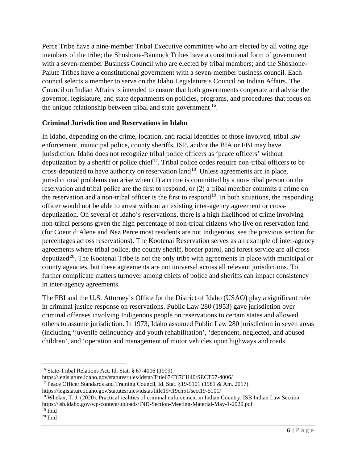Perce Tribe have a nine-member Tribal Executive committee who are elected by all voting age members of the tribe; the Shoshone-Bannock Tribes have a constitutional form of government with a seven-member Business Council who are elected by tribal members; and the Shoshone-Paiute Tribes have a constitutional government with a seven-member business council. Each council selects a member to serve on the Idaho Legislature's Council on Indian Affairs. The Council on Indian Affairs is intended to ensure that both governments cooperate and advise the governor, legislature, and state departments on policies, programs, and procedures that focus on the unique relationship between tribal and state government  $16$ .

#### **Criminal Jurisdiction and Reservations in Idaho**

In Idaho, depending on the crime, location, and racial identities of those involved, tribal law enforcement, municipal police, county sheriffs, ISP, and/or the BIA or FBI may have jurisdiction. Idaho does not recognize tribal police officers as 'peace officers' without deputization by a sheriff or police chief<sup>[17](#page-10-1)</sup>. Tribal police codes require non-tribal officers to be cross-deputized to have authority on reservation land<sup>[18](#page-10-2)</sup>. Unless agreements are in place, jurisdictional problems can arise when (1) a crime is committed by a non-tribal person on the reservation and tribal police are the first to respond, or (2) a tribal member commits a crime on the reservation and a non-tribal officer is the first to respond<sup>19</sup>. In both situations, the responding officer would not be able to arrest without an existing inter-agency agreement or crossdeputization. On several of Idaho's reservations, there is a high likelihood of crime involving non-tribal persons given the high percentage of non-tribal citizens who live on reservation land (for Coeur d'Alene and Nez Perce most residents are not Indigenous, see the previous section for percentages across reservations). The Kootenai Reservation serves as an example of inter-agency agreements where tribal police, the county sheriff, border patrol, and forest service are all cross-deputized<sup>[20](#page-10-4)</sup>. The Kootenai Tribe is not the only tribe with agreements in place with municipal or county agencies, but these agreements are not universal across all relevant jurisdictions. To further complicate matters turnover among chiefs of police and sheriffs can impact consistency in inter-agency agreements.

The FBI and the U.S. Attorney's Office for the District of Idaho (USAO) play a significant role in criminal justice response on reservations. Public Law 280 (1953) gave jurisdiction over criminal offenses involving Indigenous people on reservations to certain states and allowed others to assume jurisdiction. In 1973, Idaho assumed Public Law 280 jurisdiction in seven areas (including 'juvenile delinquency and youth rehabilitation', 'dependent, neglected, and abused children', and 'operation and management of motor vehicles upon highways and roads

https://legislature.idaho.gov/statutesrules/idstat/title19/t19ch51/sect19-5101/

<span id="page-10-2"></span><sup>18</sup> Whelan, T. J. (2020). Practical realities of criminal enforcement in Indian Country. ISB Indian Law Section.

https://isb.idaho.gov/wp-content/uploads/IND-Section-Meeting-Material-May-1-2020.pdf

<span id="page-10-0"></span><sup>16</sup> State-Tribal Relations Act, Id. Stat. § 67-4006 (1999).

https://legislature.idaho.gov/statutesrules/idstat/Title67/T67CH40/SECT67-4006/

<span id="page-10-1"></span><sup>&</sup>lt;sup>17</sup> Peace Officer Standards and Training Council, Id. Stat.  $$19-5101$  (1981 & Am. 2017).

<span id="page-10-3"></span> $19$  Ibid

<span id="page-10-4"></span><sup>20</sup> Ibid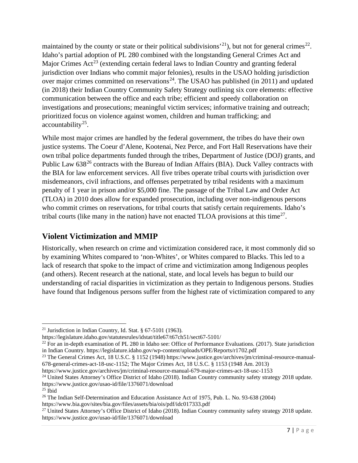maintained by the county or state or their political subdivisions<sup>21</sup>), but not for general crimes<sup>[22](#page-11-2)</sup>. Idaho's partial adoption of PL 280 combined with the longstanding General Crimes Act and Major Crimes  $Act^{23}$  $Act^{23}$  $Act^{23}$  (extending certain federal laws to Indian Country and granting federal jurisdiction over Indians who commit major felonies), results in the USAO holding jurisdiction over major crimes committed on reservations<sup>[24](#page-11-4)</sup>. The USAO has published (in 2011) and updated (in 2018) their Indian Country Community Safety Strategy outlining six core elements: effective communication between the office and each tribe; efficient and speedy collaboration on investigations and prosecutions; meaningful victim services; informative training and outreach; prioritized focus on violence against women, children and human trafficking; and  $accountability<sup>25</sup>$ .

While most major crimes are handled by the federal government, the tribes do have their own justice systems. The Coeur d'Alene, Kootenai, Nez Perce, and Fort Hall Reservations have their own tribal police departments funded through the tribes, Department of Justice (DOJ) grants, and Public Law  $638^{26}$  $638^{26}$  $638^{26}$  contracts with the Bureau of Indian Affairs (BIA). Duck Valley contracts with the BIA for law enforcement services. All five tribes operate tribal courts with jurisdiction over misdemeanors, civil infractions, and offenses perpetrated by tribal residents with a maximum penalty of 1 year in prison and/or \$5,000 fine. The passage of the Tribal Law and Order Act (TLOA) in 2010 does allow for expanded prosecution, including over non-indigenous persons who commit crimes on reservations, for tribal courts that satisfy certain requirements. Idaho's tribal courts (like many in the nation) have not enacted TLOA provisions at this time<sup>27</sup>.

#### <span id="page-11-0"></span>**Violent Victimization and MMIP**

Historically, when research on crime and victimization considered race, it most commonly did so by examining Whites compared to 'non-Whites', or Whites compared to Blacks. This led to a lack of research that spoke to the impact of crime and victimization among Indigenous peoples (and others). Recent research at the national, state, and local levels has begun to build our understanding of racial disparities in victimization as they pertain to Indigenous persons. Studies have found that Indigenous persons suffer from the highest rate of victimization compared to any

https://www.bia.gov/sites/bia.gov/files/assets/bia/ois/pdf/idc017333.pdf

<span id="page-11-1"></span><sup>&</sup>lt;sup>21</sup> Jurisdiction in Indian Country, Id. Stat.  $§$  67-5101 (1963).

https://legislature.idaho.gov/statutesrules/idstat/title67/t67ch51/sect67-5101/

<span id="page-11-2"></span> $^{22}$  For an in-depth examination of PL 280 in Idaho see: Office of Performance Evaluations. (2017). State jurisdiction in Indian Country. https://legislature.idaho.gov/wp-content/uploads/OPE/Reports/r1702.pdf

<span id="page-11-3"></span><sup>&</sup>lt;sup>23</sup> The General Crimes Act, 18 U.S.C. § 1152 (1948) https://www.justice.gov/archives/jm/criminal-resource-manual-678-general-crimes-act-18-usc-1152; The Major Crimes Act, 18 U.S.C. § 1153 (1948 Am. 2013)

https://www.justice.gov/archives/jm/criminal-resource-manual-679-major-crimes-act-18-usc-1153

<span id="page-11-4"></span><sup>&</sup>lt;sup>24</sup> United States Attorney's Office District of Idaho (2018). Indian Country community safety strategy 2018 update. https://www.justice.gov/usao-id/file/1376071/download

<span id="page-11-5"></span> $25$  Ibid

<span id="page-11-6"></span><sup>26</sup> The Indian Self-Determination and Education Assistance Act of 1975, Pub. L. No. 93-638 (2004)

<span id="page-11-7"></span><sup>&</sup>lt;sup>27</sup> United States Attorney's Office District of Idaho (2018). Indian Country community safety strategy 2018 update. https://www.justice.gov/usao-id/file/1376071/download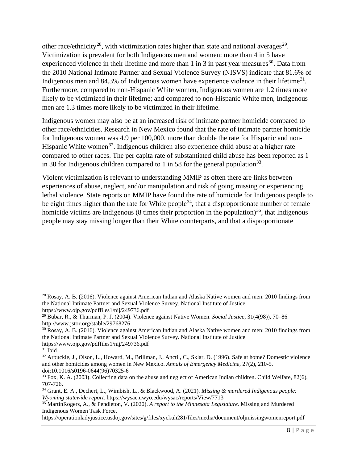other race/ethnicity<sup>28</sup>, with victimization rates higher than state and national averages<sup>29</sup>. Victimization is prevalent for both Indigenous men and women: more than 4 in 5 have experienced violence in their lifetime and more than 1 in 3 in past year measures<sup>30</sup>. Data from the 2010 National Intimate Partner and Sexual Violence Survey (NISVS) indicate that 81.6% of Indigenous men and 84.3% of Indigenous women have experience violence in their lifetime<sup>31</sup>. Furthermore, compared to non-Hispanic White women, Indigenous women are 1.2 times more likely to be victimized in their lifetime; and compared to non-Hispanic White men, Indigenous men are 1.3 times more likely to be victimized in their lifetime.

Indigenous women may also be at an increased risk of intimate partner homicide compared to other race/ethnicities. Research in New Mexico found that the rate of intimate partner homicide for Indigenous women was 4.9 per 100,000, more than double the rate for Hispanic and non-Hispanic White women<sup>[32](#page-12-4)</sup>. Indigenous children also experience child abuse at a higher rate compared to other races. The per capita rate of substantiated child abuse has been reported as 1 in 30 for Indigenous children compared to 1 in 58 for the general population<sup>[33](#page-12-5)</sup>.

Violent victimization is relevant to understanding MMIP as often there are links between experiences of abuse, neglect, and/or manipulation and risk of going missing or experiencing lethal violence. State reports on MMIP have found the rate of homicide for Indigenous people to be eight times higher than the rate for White people<sup>[34](#page-12-6)</sup>, that a disproportionate number of female homicide victims are Indigenous (8 times their proportion in the population)<sup>35</sup>, that Indigenous people may stay missing longer than their White counterparts, and that a disproportionate

<span id="page-12-0"></span><sup>28</sup> Rosay, A. B. (2016). Violence against American Indian and Alaska Native women and men: 2010 findings from the National Intimate Partner and Sexual Violence Survey. National Institute of Justice. https://www.ojp.gov/pdffiles1/nij/249736.pdf

<span id="page-12-1"></span><sup>29</sup> Bubar, R., & Thurman, P. J. (2004). Violence against Native Women. *Social Justice*, 31(4(98)), 70–86. http://www.jstor.org/stable/29768276

<span id="page-12-2"></span><sup>30</sup> Rosay, A. B. (2016). Violence against American Indian and Alaska Native women and men: 2010 findings from the National Intimate Partner and Sexual Violence Survey. National Institute of Justice. https://www.ojp.gov/pdffiles1/nij/249736.pdf

<span id="page-12-3"></span> $31$  Ibid

<span id="page-12-4"></span><sup>32</sup> Arbuckle, J., Olson, L., Howard, M., Brillman, J., Anctil, C., Sklar, D. (1996). Safe at home? Domestic violence and other homicides among women in New Mexico. *Annals of Emergency Medicine*, 27(2), 210-5. doi:10.1016/s0196-0644(96)70325-6

<span id="page-12-5"></span><sup>&</sup>lt;sup>33</sup> Fox, K. A. (2003). Collecting data on the abuse and neglect of American Indian children. Child Welfare, 82(6), 707-726.

<span id="page-12-6"></span><sup>34</sup> Grant, E. A., Dechert, L., Wimbish, L., & Blackwood, A. (2021)*. Missing & murdered Indigenous people: Wyoming statewide report.* https://wysac.uwyo.edu/wysac/reports/View/7713

<span id="page-12-7"></span><sup>35</sup> MartinRogers, A., & Pendleton, V. (2020). *A report to the Minnesota Legislature.* Missing and Murdered Indigenous Women Task Force.

https://operationladyjustice.usdoj.gov/sites/g/files/xyckuh281/files/media/document/oljmissingwomenreport.pdf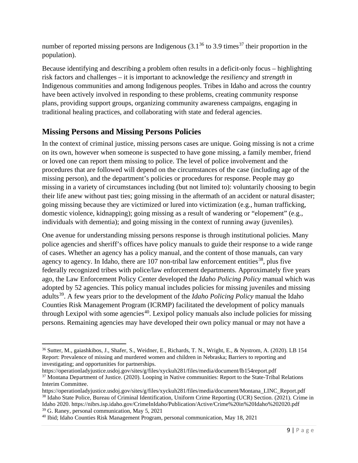number of reported missing persons are Indigenous  $(3.1^{36}$  $(3.1^{36}$  $(3.1^{36}$  to 3.9 times<sup>[37](#page-13-2)</sup> their proportion in the population).

Because identifying and describing a problem often results in a deficit-only focus – highlighting risk factors and challenges – it is important to acknowledge the *resiliency* and *strength* in Indigenous communities and among Indigenous peoples. Tribes in Idaho and across the country have been actively involved in responding to these problems, creating community response plans, providing support groups, organizing community awareness campaigns, engaging in traditional healing practices, and collaborating with state and federal agencies.

#### <span id="page-13-0"></span>**Missing Persons and Missing Persons Policies**

In the context of criminal justice, missing persons cases are unique. Going missing is not a crime on its own, however when someone is suspected to have gone missing, a family member, friend or loved one can report them missing to police. The level of police involvement and the procedures that are followed will depend on the circumstances of the case (including age of the missing person), and the department's policies or procedures for response. People may go missing in a variety of circumstances including (but not limited to): voluntarily choosing to begin their life anew without past ties; going missing in the aftermath of an accident or natural disaster; going missing because they are victimized or lured into victimization (e.g., human trafficking, domestic violence, kidnapping); going missing as a result of wandering or "elopement" (e.g., individuals with dementia); and going missing in the context of running away (juveniles).

One avenue for understanding missing persons response is through institutional policies. Many police agencies and sheriff's offices have policy manuals to guide their response to a wide range of cases. Whether an agency has a policy manual, and the content of those manuals, can vary agency to agency. In Idaho, there are  $107$  non-tribal law enforcement entities<sup>[38](#page-13-3)</sup>, plus five federally recognized tribes with police/law enforcement departments. Approximately five years ago, the Law Enforcement Policy Center developed the *Idaho Policing Policy* manual which was adopted by 52 agencies. This policy manual includes policies for missing juveniles and missing adults[39](#page-13-4). A few years prior to the development of the *Idaho Policing Policy* manual the Idaho Counties Risk Management Program (ICRMP) facilitated the development of policy manuals through Lexipol with some agencies<sup>[40](#page-13-5)</sup>. Lexipol policy manuals also include policies for missing persons. Remaining agencies may have developed their own policy manual or may not have a

<span id="page-13-1"></span><sup>36</sup> Sutter, M., gaiashkibos, J., Shafer, S., Weidner, E., Richards, T. N., Wright, E., & Nystrom, A. (2020). LB 154 Report: Prevalence of missing and murdered women and children in Nebraska; Barriers to reporting and investigating; and opportunities for partnerships.

<span id="page-13-2"></span>https://operationladyjustice.usdoj.gov/sites/g/files/xyckuh281/files/media/document/lb154report.pdf <sup>37</sup> Montana Department of Justice. (2020). Looping in Native communities: Report to the State-Tribal Relations Interim Committee.

<span id="page-13-3"></span>https://operationladyjustice.usdoj.gov/sites/g/files/xyckuh281/files/media/document/Montana\_LINC\_Report.pdf <sup>38</sup> Idaho State Police, Bureau of Criminal Identification, Uniform Crime Reporting (UCR) Section. (2021). Crime in Idaho 2020. https://nibrs.isp.idaho.gov/CrimeInIdaho/Publication/Active/Crime%20in%20Idaho%202020.pdf <sup>39</sup> G. Raney, personal communication, May 5, 2021

<span id="page-13-5"></span><span id="page-13-4"></span><sup>40</sup> Ibid; Idaho Counties Risk Management Program, personal communication, May 18, 2021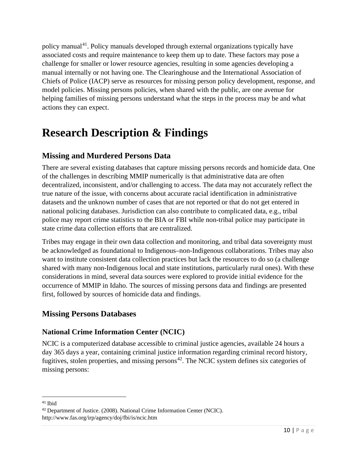policy manual<sup>[41](#page-14-4)</sup>. Policy manuals developed through external organizations typically have associated costs and require maintenance to keep them up to date. These factors may pose a challenge for smaller or lower resource agencies, resulting in some agencies developing a manual internally or not having one. The Clearinghouse and the International Association of Chiefs of Police (IACP) serve as resources for missing person policy development, response, and model policies. Missing persons policies, when shared with the public, are one avenue for helping families of missing persons understand what the steps in the process may be and what actions they can expect.

## <span id="page-14-0"></span>**Research Description & Findings**

#### <span id="page-14-1"></span>**Missing and Murdered Persons Data**

There are several existing databases that capture missing persons records and homicide data. One of the challenges in describing MMIP numerically is that administrative data are often decentralized, inconsistent, and/or challenging to access. The data may not accurately reflect the true nature of the issue, with concerns about accurate racial identification in administrative datasets and the unknown number of cases that are not reported or that do not get entered in national policing databases. Jurisdiction can also contribute to complicated data, e.g., tribal police may report crime statistics to the BIA or FBI while non-tribal police may participate in state crime data collection efforts that are centralized.

Tribes may engage in their own data collection and monitoring, and tribal data sovereignty must be acknowledged as foundational to Indigenous–non-Indigenous collaborations. Tribes may also want to institute consistent data collection practices but lack the resources to do so (a challenge shared with many non-Indigenous local and state institutions, particularly rural ones). With these considerations in mind, several data sources were explored to provide initial evidence for the occurrence of MMIP in Idaho. The sources of missing persons data and findings are presented first, followed by sources of homicide data and findings.

#### <span id="page-14-2"></span>**Missing Persons Databases**

#### <span id="page-14-3"></span>**National Crime Information Center (NCIC)**

NCIC is a computerized database accessible to criminal justice agencies, available 24 hours a day 365 days a year, containing criminal justice information regarding criminal record history, fugitives, stolen properties, and missing persons<sup>42</sup>. The NCIC system defines six categories of missing persons:

<span id="page-14-4"></span><sup>41</sup> Ibid

<span id="page-14-5"></span><sup>42</sup> Department of Justice. (2008). National Crime Information Center (NCIC). http://www.fas.org/irp/agency/doj/fbi/is/ncic.htm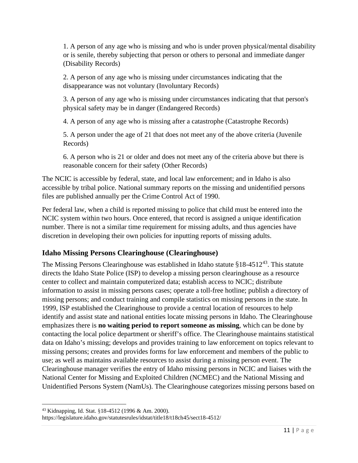1. A person of any age who is missing and who is under proven physical/mental disability or is senile, thereby subjecting that person or others to personal and immediate danger (Disability Records)

2. A person of any age who is missing under circumstances indicating that the disappearance was not voluntary (Involuntary Records)

3. A person of any age who is missing under circumstances indicating that that person's physical safety may be in danger (Endangered Records)

4. A person of any age who is missing after a catastrophe (Catastrophe Records)

5. A person under the age of 21 that does not meet any of the above criteria (Juvenile Records)

6. A person who is 21 or older and does not meet any of the criteria above but there is reasonable concern for their safety (Other Records)

The NCIC is accessible by federal, state, and local law enforcement; and in Idaho is also accessible by tribal police. National summary reports on the missing and unidentified persons files are published annually per the Crime Control Act of 1990.

Per federal law, when a child is reported missing to police that child must be entered into the NCIC system within two hours. Once entered, that record is assigned a unique identification number. There is not a similar time requirement for missing adults, and thus agencies have discretion in developing their own policies for inputting reports of missing adults.

#### <span id="page-15-0"></span>**Idaho Missing Persons Clearinghouse (Clearinghouse)**

The Missing Persons Clearinghouse was established in Idaho statute  $$18-4512^{43}$ . This statute directs the Idaho State Police (ISP) to develop a missing person clearinghouse as a resource center to collect and maintain computerized data; establish access to NCIC; distribute information to assist in missing persons cases; operate a toll-free hotline; publish a directory of missing persons; and conduct training and compile statistics on missing persons in the state. In 1999, ISP established the Clearinghouse to provide a central location of resources to help identify and assist state and national entities locate missing persons in Idaho. The Clearinghouse emphasizes there is **no waiting period to report someone as missing**, which can be done by contacting the local police department or sheriff's office. The Clearinghouse maintains statistical data on Idaho's missing; develops and provides training to law enforcement on topics relevant to missing persons; creates and provides forms for law enforcement and members of the public to use; as well as maintains available resources to assist during a missing person event. The Clearinghouse manager verifies the entry of Idaho missing persons in NCIC and liaises with the National Center for Missing and Exploited Children (NCMEC) and the National Missing and Unidentified Persons System (NamUs). The Clearinghouse categorizes missing persons based on

<span id="page-15-1"></span><sup>43</sup> Kidnapping, Id. Stat. §18-4512 (1996 & Am. 2000).

https://legislature.idaho.gov/statutesrules/idstat/title18/t18ch45/sect18-4512/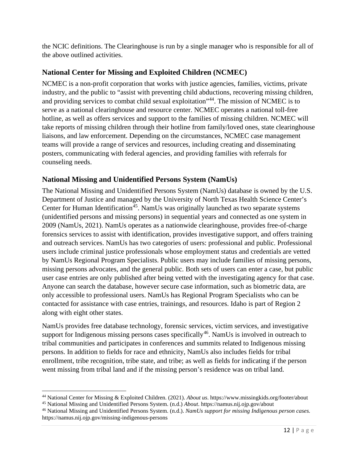the NCIC definitions. The Clearinghouse is run by a single manager who is responsible for all of the above outlined activities.

#### <span id="page-16-0"></span>**National Center for Missing and Exploited Children (NCMEC)**

NCMEC is a non-profit corporation that works with justice agencies, families, victims, private industry, and the public to "assist with preventing child abductions, recovering missing children, and providing services to combat child sexual exploitation<sup>3[44](#page-16-2)</sup>. The mission of NCMEC is to serve as a national clearinghouse and resource center. NCMEC operates a national toll-free hotline, as well as offers services and support to the families of missing children. NCMEC will take reports of missing children through their hotline from family/loved ones, state clearinghouse liaisons, and law enforcement. Depending on the circumstances, NCMEC case management teams will provide a range of services and resources, including creating and disseminating posters, communicating with federal agencies, and providing families with referrals for counseling needs.

#### <span id="page-16-1"></span>**National Missing and Unidentified Persons System (NamUs)**

The National Missing and Unidentified Persons System (NamUs) database is owned by the U.S. Department of Justice and managed by the University of North Texas Health Science Center's Center for Human Identification<sup>45</sup>. NamUs was originally launched as two separate systems (unidentified persons and missing persons) in sequential years and connected as one system in 2009 (NamUs, 2021). NamUs operates as a nationwide clearinghouse, provides free-of-charge forensics services to assist with identification, provides investigative support, and offers training and outreach services. NamUs has two categories of users: professional and public. Professional users include criminal justice professionals whose employment status and credentials are vetted by NamUs Regional Program Specialists. Public users may include families of missing persons, missing persons advocates, and the general public. Both sets of users can enter a case, but public user case entries are only published after being vetted with the investigating agency for that case. Anyone can search the database, however secure case information, such as biometric data, are only accessible to professional users. NamUs has Regional Program Specialists who can be contacted for assistance with case entries, trainings, and resources. Idaho is part of Region 2 along with eight other states.

NamUs provides free database technology, forensic services, victim services, and investigative support for Indigenous missing persons cases specifically<sup>46</sup>. NamUs is involved in outreach to tribal communities and participates in conferences and summits related to Indigenous missing persons. In addition to fields for race and ethnicity, NamUs also includes fields for tribal enrollment, tribe recognition, tribe state, and tribe; as well as fields for indicating if the person went missing from tribal land and if the missing person's residence was on tribal land.

<span id="page-16-2"></span><sup>44</sup> National Center for Missing & Exploited Children. (2021). *About us*. https://www.missingkids.org/footer/about

<span id="page-16-3"></span><sup>45</sup> National Missing and Unidentified Persons System. (n.d.) *About*. https://namus.nij.ojp.gov/about

<span id="page-16-4"></span><sup>46</sup> National Missing and Unidentified Persons System. (n.d.). *NamUs support for missing Indigenous person cases.*  https://namus.nij.ojp.gov/missing-indigenous-persons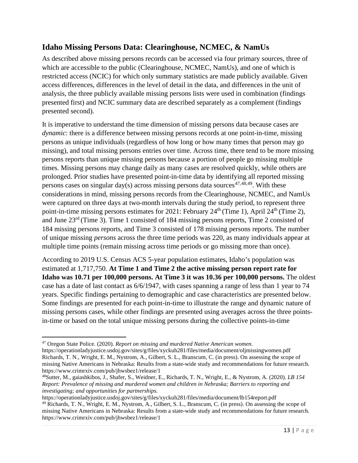#### <span id="page-17-0"></span>**Idaho Missing Persons Data: Clearinghouse, NCMEC, & NamUs**

As described above missing persons records can be accessed via four primary sources, three of which are accessible to the public (Clearinghouse, NCMEC, NamUs), and one of which is restricted access (NCIC) for which only summary statistics are made publicly available. Given access differences, differences in the level of detail in the data, and differences in the unit of analysis, the three publicly available missing persons lists were used in combination (findings presented first) and NCIC summary data are described separately as a complement (findings presented second).

It is imperative to understand the time dimension of missing persons data because cases are *dynamic*: there is a difference between missing persons records at one point-in-time, missing persons as unique individuals (regardless of how long or how many times that person may go missing), and total missing persons entries over time. Across time, there tend to be more missing persons reports than unique missing persons because a portion of people go missing multiple times. Missing persons may change daily as many cases are resolved quickly, while others are prolonged. Prior studies have presented point-in-time data by identifying all reported missing persons cases on singular day(s) across missing persons data sources<sup>[47](#page-17-1),[48,](#page-17-2)49</sup>. With these considerations in mind, missing persons records from the Clearinghouse, NCMEC, and NamUs were captured on three days at two-month intervals during the study period, to represent three point-in-time missing persons estimates for 2021: February  $24<sup>th</sup>$  (Time 1), April  $24<sup>th</sup>$  (Time 2), and June 23rd (Time 3). Time 1 consisted of 184 missing persons reports, Time 2 consisted of 184 missing persons reports, and Time 3 consisted of 178 missing persons reports. The number of unique missing *persons* across the three time periods was 220, as many individuals appear at multiple time points (remain missing across time periods or go missing more than once).

According to 2019 U.S. Census ACS 5-year population estimates, Idaho's population was estimated at 1,717,750. **At Time 1 and Time 2 the active missing person report rate for Idaho was 10.71 per 100,000 persons. At Time 3 it was 10.36 per 100,000 persons.** The oldest case has a date of last contact as 6/6/1947, with cases spanning a range of less than 1 year to 74 years. Specific findings pertaining to demographic and case characteristics are presented below. Some findings are presented for each point-in-time to illustrate the range and dynamic nature of missing persons cases, while other findings are presented using averages across the three pointsin-time or based on the total unique missing persons during the collective points-in-time

<span id="page-17-1"></span><sup>47</sup> Oregon State Police. (2020). *Report on missing and murdered Native American women.*  https://operationladyjustice.usdoj.gov/sites/g/files/xyckuh281/files/media/document/oljmissingwomen.pdf Richards, T. N., Wright, E. M., Nystrom, A., Gilbert, S. L., Branscum, C. (in press). On assessing the scope of missing Native Americans in Nebraska: Results from a state-wide study and recommendations for future research. https://www.crimrxiv.com/pub/jhwsbez1/release/1

<span id="page-17-2"></span><sup>48</sup>Sutter, M., gaiashkibos, J., Shafer, S., Weidner, E., Richards, T. N., Wright, E., & Nystrom, A. (2020). *LB 154 Report: Prevalence of missing and murdered women and children in Nebraska; Barriers to reporting and investigating; and opportunities for partnerships.*

<span id="page-17-3"></span>https://operationladyjustice.usdoj.gov/sites/g/files/xyckuh281/files/media/document/lb154report.pdf <sup>49</sup> Richards, T. N., Wright, E. M., Nystrom, A., Gilbert, S. L., Branscum, C. (in press). On assessing the scope of missing Native Americans in Nebraska: Results from a state-wide study and recommendations for future research. https://www.crimrxiv.com/pub/jhwsbez1/release/1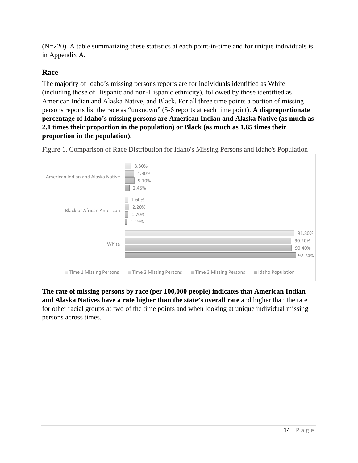(N=220). A table summarizing these statistics at each point-in-time and for unique individuals is in Appendix A.

#### <span id="page-18-0"></span>**Race**

The majority of Idaho's missing persons reports are for individuals identified as White (including those of Hispanic and non-Hispanic ethnicity), followed by those identified as American Indian and Alaska Native, and Black. For all three time points a portion of missing persons reports list the race as "unknown" (5-6 reports at each time point). **A disproportionate percentage of Idaho's missing persons are American Indian and Alaska Native (as much as 2.1 times their proportion in the population) or Black (as much as 1.85 times their proportion in the population)**.



Figure 1. Comparison of Race Distribution for Idaho's Missing Persons and Idaho's Population

**The rate of missing persons by race (per 100,000 people) indicates that American Indian and Alaska Natives have a rate higher than the state's overall rate** and higher than the rate for other racial groups at two of the time points and when looking at unique individual missing persons across times.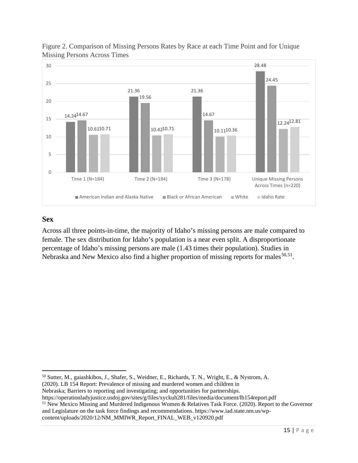

Figure 2. Comparison of Missing Persons Rates by Race at each Time Point and for Unique Missing Persons Across Times

#### <span id="page-19-0"></span>**Sex**

Across all three points-in-time, the majority of Idaho's missing persons are male compared to female. The sex distribution for Idaho's population is a near even split. A disproportionate percentage of Idaho's missing persons are male (1.43 times their population). Studies in Nebraska and New Mexico also find a higher proportion of missing reports for males $50,51$  $50,51$ .

Nebraska; Barriers to reporting and investigating; and opportunities for partnerships.

<span id="page-19-1"></span><sup>50</sup> Sutter, M., gaiashkibos, J., Shafer, S., Weidner, E., Richards, T. N., Wright, E., & Nystrom, A. (2020). LB 154 Report: Prevalence of missing and murdered women and children in

https://operationladyjustice.usdoj.gov/sites/g/files/xyckuh281/files/media/document/lb154report.pdf

<span id="page-19-2"></span><sup>51</sup> New Mexico Missing and Murdered Indigenous Women & Relatives Task Force. (2020). Report to the Governor and Legislature on the task force findings and recommendations. https://www.iad.state.nm.us/wpcontent/uploads/2020/12/NM\_MMIWR\_Report\_FINAL\_WEB\_v120920.pdf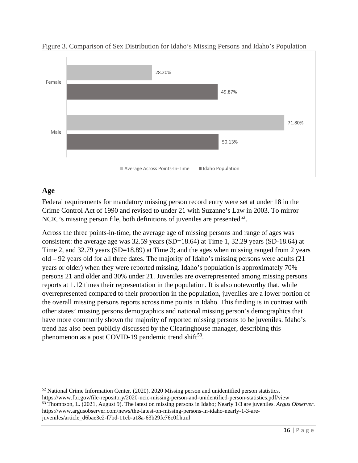

Figure 3. Comparison of Sex Distribution for Idaho's Missing Persons and Idaho's Population

#### <span id="page-20-0"></span>**Age**

Federal requirements for mandatory missing person record entry were set at under 18 in the Crime Control Act of 1990 and revised to under 21 with Suzanne's Law in 2003. To mirror NCIC's missing person file, both definitions of juveniles are presented<sup>[52](#page-20-1)</sup>.

Across the three points-in-time, the average age of missing persons and range of ages was consistent: the average age was 32.59 years (SD=18.64) at Time 1, 32.29 years (SD-18.64) at Time 2, and 32.79 years (SD=18.89) at Time 3; and the ages when missing ranged from 2 years old – 92 years old for all three dates. The majority of Idaho's missing persons were adults (21 years or older) when they were reported missing. Idaho's population is approximately 70% persons 21 and older and 30% under 21. Juveniles are overrepresented among missing persons reports at 1.12 times their representation in the population. It is also noteworthy that, while overrepresented compared to their proportion in the population, juveniles are a lower portion of the overall missing persons reports across time points in Idaho. This finding is in contrast with other states' missing persons demographics and national missing person's demographics that have more commonly shown the majority of reported missing persons to be juveniles. Idaho's trend has also been publicly discussed by the Clearinghouse manager, describing this phenomenon as a post COVID-19 pandemic trend shift<sup>53</sup>.

<span id="page-20-1"></span><sup>52</sup> National Crime Information Center. (2020). 2020 Missing person and unidentified person statistics.

<span id="page-20-2"></span>https://www.fbi.gov/file-repository/2020-ncic-missing-person-and-unidentified-person-statistics.pdf/view <sup>53</sup> Thompson, L. (2021, August 9). The latest on missing persons in Idaho; Nearly 1/3 are juveniles. *Argus Observer*. https://www.argusobserver.com/news/the-latest-on-missing-persons-in-idaho-nearly-1-3-arejuveniles/article\_d6bae3e2-f7bd-11eb-a18a-63b29fe76c0f.html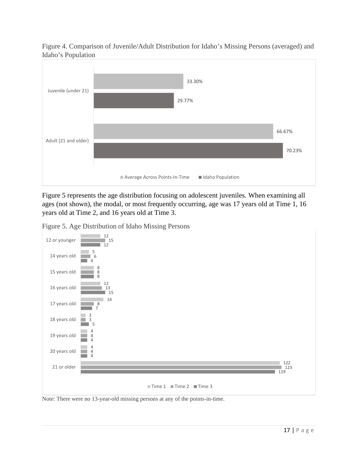

Figure 4. Comparison of Juvenile/Adult Distribution for Idaho's Missing Persons (averaged) and Idaho's Population

Figure 5 represents the age distribution focusing on adolescent juveniles. When examining all ages (not shown), the modal, or most frequently occurring, age was 17 years old at Time 1, 16 years old at Time 2, and 16 years old at Time 3.

Figure 5. Age Distribution of Idaho Missing Persons



Note: There were no 13-year-old missing persons at any of the points-in-time.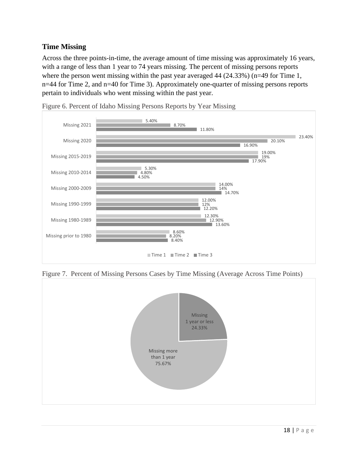#### <span id="page-22-0"></span>**Time Missing**

Across the three points-in-time, the average amount of time missing was approximately 16 years, with a range of less than 1 year to 74 years missing. The percent of missing persons reports where the person went missing within the past year averaged 44 (24.33%) (n=49 for Time 1, n=44 for Time 2, and n=40 for Time 3). Approximately one-quarter of missing persons reports pertain to individuals who went missing within the past year.



Figure 6. Percent of Idaho Missing Persons Reports by Year Missing

Figure 7. Percent of Missing Persons Cases by Time Missing (Average Across Time Points)

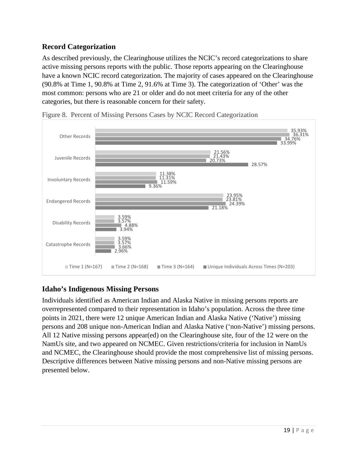#### <span id="page-23-0"></span>**Record Categorization**

As described previously, the Clearinghouse utilizes the NCIC's record categorizations to share active missing persons reports with the public. Those reports appearing on the Clearinghouse have a known NCIC record categorization. The majority of cases appeared on the Clearinghouse (90.8% at Time 1, 90.8% at Time 2, 91.6% at Time 3). The categorization of 'Other' was the most common: persons who are 21 or older and do not meet criteria for any of the other categories, but there is reasonable concern for their safety.





#### <span id="page-23-1"></span>**Idaho's Indigenous Missing Persons**

Individuals identified as American Indian and Alaska Native in missing persons reports are overrepresented compared to their representation in Idaho's population. Across the three time points in 2021, there were 12 unique American Indian and Alaska Native ('Native') missing persons and 208 unique non-American Indian and Alaska Native ('non-Native') missing persons. All 12 Native missing persons appear(ed) on the Clearinghouse site, four of the 12 were on the NamUs site, and two appeared on NCMEC. Given restrictions/criteria for inclusion in NamUs and NCMEC, the Clearinghouse should provide the most comprehensive list of missing persons. Descriptive differences between Native missing persons and non-Native missing persons are presented below.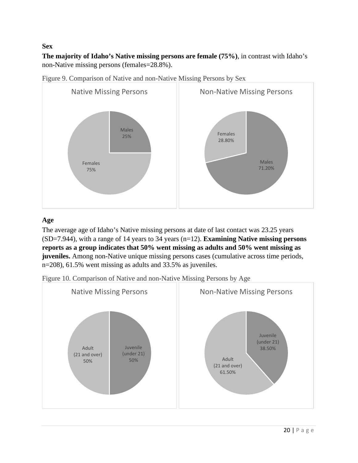#### **Sex**

**The majority of Idaho's Native missing persons are female (75%)**, in contrast with Idaho's non-Native missing persons (females=28.8%).





#### **Age**

The average age of Idaho's Native missing persons at date of last contact was 23.25 years (SD=7.944), with a range of 14 years to 34 years (n=12). **Examining Native missing persons reports as a group indicates that 50% went missing as adults and 50% went missing as juveniles.** Among non-Native unique missing persons cases (cumulative across time periods, n=208), 61.5% went missing as adults and 33.5% as juveniles.



Figure 10. Comparison of Native and non-Native Missing Persons by Age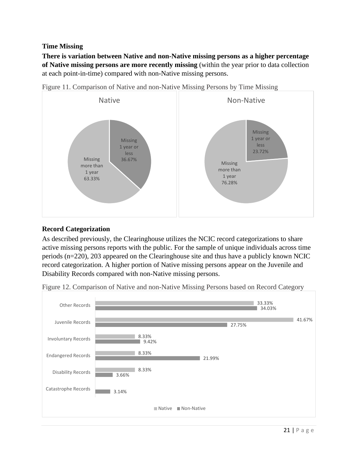#### **Time Missing**

**There is variation between Native and non-Native missing persons as a higher percentage of Native missing persons are more recently missing** (within the year prior to data collection at each point-in-time) compared with non-Native missing persons.



Figure 11. Comparison of Native and non-Native Missing Persons by Time Missing

#### **Record Categorization**

As described previously, the Clearinghouse utilizes the NCIC record categorizations to share active missing persons reports with the public. For the sample of unique individuals across time periods (n=220), 203 appeared on the Clearinghouse site and thus have a publicly known NCIC record categorization. A higher portion of Native missing persons appear on the Juvenile and Disability Records compared with non-Native missing persons.

Figure 12. Comparison of Native and non-Native Missing Persons based on Record Category

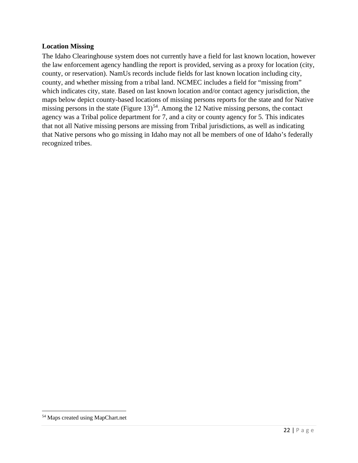#### **Location Missing**

The Idaho Clearinghouse system does not currently have a field for last known location, however the law enforcement agency handling the report is provided, serving as a proxy for location (city, county, or reservation). NamUs records include fields for last known location including city, county, and whether missing from a tribal land. NCMEC includes a field for "missing from" which indicates city, state. Based on last known location and/or contact agency jurisdiction, the maps below depict county-based locations of missing persons reports for the state and for Native missing persons in the state (Figure  $13$ )<sup>[54](#page-26-0)</sup>. Among the 12 Native missing persons, the contact agency was a Tribal police department for 7, and a city or county agency for 5. This indicates that not all Native missing persons are missing from Tribal jurisdictions, as well as indicating that Native persons who go missing in Idaho may not all be members of one of Idaho's federally recognized tribes.

<span id="page-26-0"></span><sup>54</sup> Maps created using MapChart.net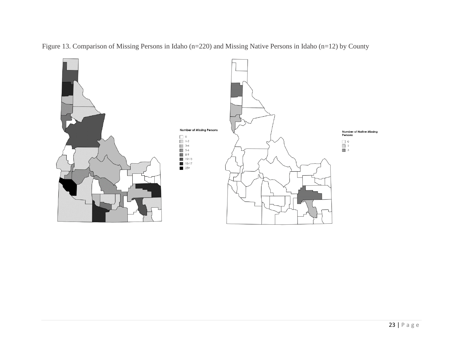

Figure 13. Comparison of Missing Persons in Idaho (n=220) and Missing Native Persons in Idaho (n=12) by County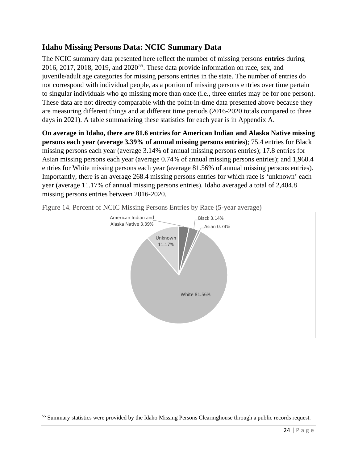#### <span id="page-28-0"></span>**Idaho Missing Persons Data: NCIC Summary Data**

The NCIC summary data presented here reflect the number of missing persons **entries** during 2016, 2017, 2018, 2019, and  $2020^{55}$  $2020^{55}$  $2020^{55}$ . These data provide information on race, sex, and juvenile/adult age categories for missing persons entries in the state. The number of entries do not correspond with individual people, as a portion of missing persons entries over time pertain to singular individuals who go missing more than once (i.e., three entries may be for one person). These data are not directly comparable with the point-in-time data presented above because they are measuring different things and at different time periods (2016-2020 totals compared to three days in 2021). A table summarizing these statistics for each year is in Appendix A.

**On average in Idaho, there are 81.6 entries for American Indian and Alaska Native missing persons each year (average 3.39% of annual missing persons entries)**; 75.4 entries for Black missing persons each year (average 3.14% of annual missing persons entries); 17.8 entries for Asian missing persons each year (average 0.74% of annual missing persons entries); and 1,960.4 entries for White missing persons each year (average 81.56% of annual missing persons entries). Importantly, there is an average 268.4 missing persons entries for which race is 'unknown' each year (average 11.17% of annual missing persons entries). Idaho averaged a total of 2,404.8 missing persons entries between 2016-2020.



Figure 14. Percent of NCIC Missing Persons Entries by Race (5-year average)

<span id="page-28-1"></span><sup>55</sup> Summary statistics were provided by the Idaho Missing Persons Clearinghouse through a public records request.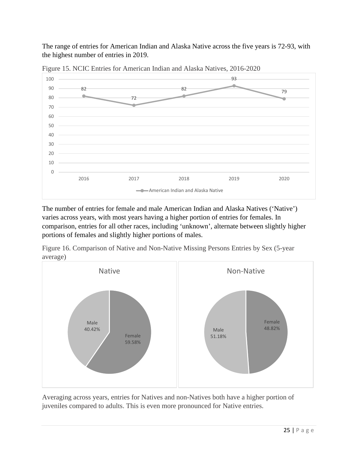The range of entries for American Indian and Alaska Native across the five years is 72-93, with the highest number of entries in 2019.



Figure 15. NCIC Entries for American Indian and Alaska Natives, 2016-2020

The number of entries for female and male American Indian and Alaska Natives ('Native') varies across years, with most years having a higher portion of entries for females. In comparison, entries for all other races, including 'unknown', alternate between slightly higher portions of females and slightly higher portions of males.

Figure 16. Comparison of Native and Non-Native Missing Persons Entries by Sex (5-year average)



Averaging across years, entries for Natives and non-Natives both have a higher portion of juveniles compared to adults. This is even more pronounced for Native entries.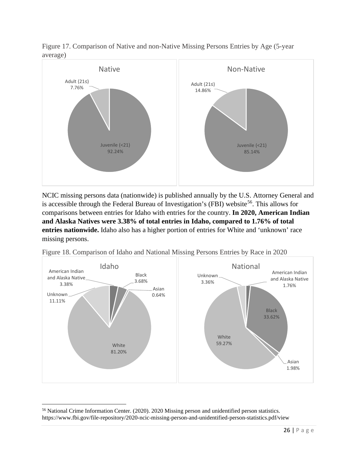



NCIC missing persons data (nationwide) is published annually by the U.S. Attorney General and is accessible through the Federal Bureau of Investigation's (FBI) website<sup>56</sup>. This allows for comparisons between entries for Idaho with entries for the country. **In 2020, American Indian and Alaska Natives were 3.38% of total entries in Idaho, compared to 1.76% of total entries nationwide.** Idaho also has a higher portion of entries for White and 'unknown' race missing persons.



Figure 18. Comparison of Idaho and National Missing Persons Entries by Race in 2020

<span id="page-30-0"></span><sup>56</sup> National Crime Information Center. (2020). 2020 Missing person and unidentified person statistics. https://www.fbi.gov/file-repository/2020-ncic-missing-person-and-unidentified-person-statistics.pdf/view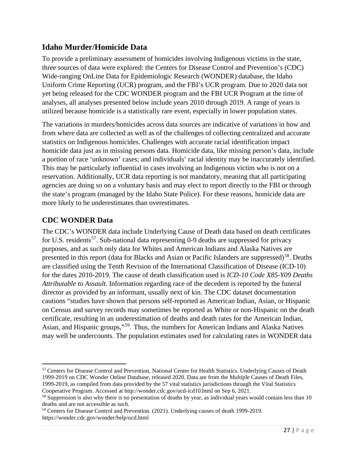#### <span id="page-31-0"></span>**Idaho Murder/Homicide Data**

To provide a preliminary assessment of homicides involving Indigenous victims in the state, three sources of data were explored: the Centers for Disease Control and Prevention's (CDC) Wide-ranging OnLine Data for Epidemiologic Research (WONDER) database, the Idaho Uniform Crime Reporting (UCR) program, and the FBI's UCR program. Due to 2020 data not yet being released for the CDC WONDER program and the FBI UCR Program at the time of analyses, all analyses presented below include years 2010 through 2019. A range of years is utilized because homicide is a statistically rare event, especially in lower population states.

The variations in murders/homicides across data sources are indicative of variations in how and from where data are collected as well as of the challenges of collecting centralized and accurate statistics on Indigenous homicides. Challenges with accurate racial identification impact homicide data just as in missing persons data. Homicide data, like missing person's data, include a portion of race 'unknown' cases; and individuals' racial identity may be inaccurately identified. This may be particularly influential in cases involving an Indigenous victim who is not on a reservation. Additionally, UCR data reporting is not mandatory, meaning that all participating agencies are doing so on a voluntary basis and may elect to report directly to the FBI or through the state's program (managed by the Idaho State Police). For these reasons, homicide data are more likely to be underestimates than overestimates.

#### <span id="page-31-1"></span>**CDC WONDER Data**

The CDC's WONDER data include Underlying Cause of Death data based on death certificates for U.S. residents<sup>57</sup>. Sub-national data representing 0-9 deaths are suppressed for privacy purposes, and as such only data for Whites and American Indians and Alaska Natives are presented in this report (data for Blacks and Asian or Pacific Islanders are suppressed)<sup>58</sup>. Deaths are classified using the Tenth Revision of the International Classification of Disease (ICD-10) for the dates 2010-2019. The cause of death classification used is *ICD-10 Code X85-Y09 Deaths Attributable to Assault*. Information regarding race of the decedent is reported by the funeral director as provided by an informant, usually next of kin. The CDC dataset documentation cautions "studies have shown that persons self-reported as American Indian, Asian, or Hispanic on Census and survey records may sometimes be reported as White or non-Hispanic on the death certificate, resulting in an underestimation of deaths and death rates for the American Indian, Asian, and Hispanic groups,"[59](#page-31-4). Thus, the numbers for American Indians and Alaska Natives may well be undercounts. The population estimates used for calculating rates in WONDER data

<span id="page-31-2"></span><sup>57</sup> Centers for Disease Control and Prevention, National Center for Health Statistics. Underlying Causes of Death 1999-2019 on CDC Wonder Online Database, released 2020. Data are from the Multiple Causes of Death Files, 1999-2019, as compiled from data provided by the 57 vital statistics jurisdictions through the Vital Statistics

<span id="page-31-3"></span>Cooperative Program. Accessed at http://wonder.cdc.gov/ucd-icd10.html on Sep 6, 2021.<br><sup>58</sup> Suppression is also why there is no presentation of deaths by year, as individual years would contain less than 10 deaths and are not accessible as such.

<span id="page-31-4"></span><sup>59</sup> Centers for Disease Control and Prevention. (2021). Underlying causes of death 1999-2019. https://wonder.cdc.gov/wonder/help/ucd.html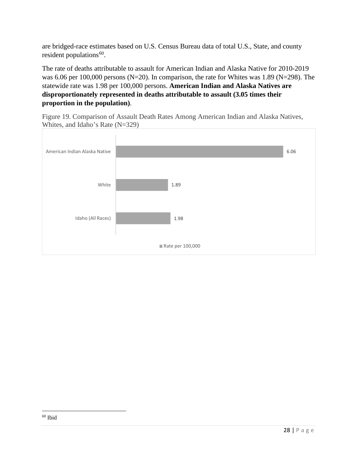are bridged-race estimates based on U.S. Census Bureau data of total U.S., State, and county resident populations $60$ .

The rate of deaths attributable to assault for American Indian and Alaska Native for 2010-2019 was 6.06 per 100,000 persons (N=20). In comparison, the rate for Whites was 1.89 (N=298). The statewide rate was 1.98 per 100,000 persons. **American Indian and Alaska Natives are disproportionately represented in deaths attributable to assault (3.05 times their proportion in the population)**.

Figure 19. Comparison of Assault Death Rates Among American Indian and Alaska Natives, Whites, and Idaho's Rate (N=329)

<span id="page-32-0"></span>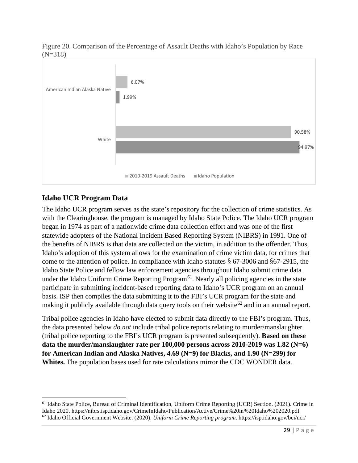



#### <span id="page-33-0"></span>**Idaho UCR Program Data**

The Idaho UCR program serves as the state's repository for the collection of crime statistics. As with the Clearinghouse, the program is managed by Idaho State Police. The Idaho UCR program began in 1974 as part of a nationwide crime data collection effort and was one of the first statewide adopters of the National Incident Based Reporting System (NIBRS) in 1991. One of the benefits of NIBRS is that data are collected on the victim, in addition to the offender. Thus, Idaho's adoption of this system allows for the examination of crime victim data, for crimes that come to the attention of police. In compliance with Idaho statutes § 67-3006 and §67-2915, the Idaho State Police and fellow law enforcement agencies throughout Idaho submit crime data under the Idaho Uniform Crime Reporting Program<sup>61</sup>. Nearly all policing agencies in the state participate in submitting incident-based reporting data to Idaho's UCR program on an annual basis. ISP then compiles the data submitting it to the FBI's UCR program for the state and making it publicly available through data query tools on their website<sup>[62](#page-33-2)</sup> and in an annual report.

Tribal police agencies in Idaho have elected to submit data directly to the FBI's program. Thus, the data presented below *do not* include tribal police reports relating to murder/manslaughter (tribal police reporting to the FBI's UCR program is presented subsequently). **Based on these data the murder/manslaughter rate per 100,000 persons across 2010-2019 was 1.82 (N=6) for American Indian and Alaska Natives, 4.69 (N=9) for Blacks, and 1.90 (N=299) for Whites.** The population bases used for rate calculations mirror the CDC WONDER data.

<span id="page-33-2"></span><span id="page-33-1"></span><sup>&</sup>lt;sup>61</sup> Idaho State Police, Bureau of Criminal Identification, Uniform Crime Reporting (UCR) Section. (2021). Crime in Idaho 2020. https://nibrs.isp.idaho.gov/CrimeInIdaho/Publication/Active/Crime%20in%20Idaho%202020.pdf <sup>62</sup> Idaho Official Government Website. (2020). *Uniform Crime Reporting program*. https://isp.idaho.gov/bci/ucr/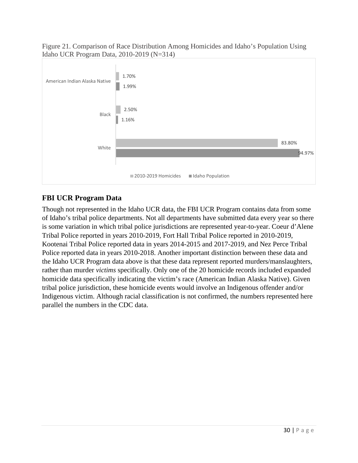#### Figure 21. Comparison of Race Distribution Among Homicides and Idaho's Population Using Idaho UCR Program Data, 2010-2019 (N=314)



#### <span id="page-34-0"></span>**FBI UCR Program Data**

Though not represented in the Idaho UCR data, the FBI UCR Program contains data from some of Idaho's tribal police departments. Not all departments have submitted data every year so there is some variation in which tribal police jurisdictions are represented year-to-year. Coeur d'Alene Tribal Police reported in years 2010-2019, Fort Hall Tribal Police reported in 2010-2019, Kootenai Tribal Police reported data in years 2014-2015 and 2017-2019, and Nez Perce Tribal Police reported data in years 2010-2018. Another important distinction between these data and the Idaho UCR Program data above is that these data represent reported murders/manslaughters, rather than murder *victims* specifically. Only one of the 20 homicide records included expanded homicide data specifically indicating the victim's race (American Indian Alaska Native). Given tribal police jurisdiction, these homicide events would involve an Indigenous offender and/or Indigenous victim. Although racial classification is not confirmed, the numbers represented here parallel the numbers in the CDC data.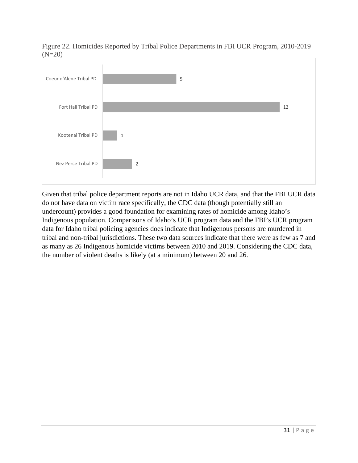

Figure 22. Homicides Reported by Tribal Police Departments in FBI UCR Program, 2010-2019  $(N=20)$ 

Given that tribal police department reports are not in Idaho UCR data, and that the FBI UCR data do not have data on victim race specifically, the CDC data (though potentially still an undercount) provides a good foundation for examining rates of homicide among Idaho's Indigenous population. Comparisons of Idaho's UCR program data and the FBI's UCR program data for Idaho tribal policing agencies does indicate that Indigenous persons are murdered in tribal and non-tribal jurisdictions. These two data sources indicate that there were as few as 7 and as many as 26 Indigenous homicide victims between 2010 and 2019. Considering the CDC data, the number of violent deaths is likely (at a minimum) between 20 and 26.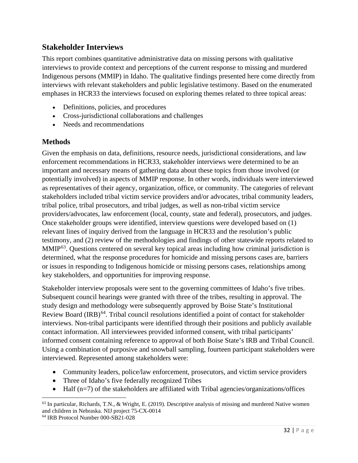#### <span id="page-36-0"></span>**Stakeholder Interviews**

This report combines quantitative administrative data on missing persons with qualitative interviews to provide context and perceptions of the current response to missing and murdered Indigenous persons (MMIP) in Idaho. The qualitative findings presented here come directly from interviews with relevant stakeholders and public legislative testimony. Based on the enumerated emphases in HCR33 the interviews focused on exploring themes related to three topical areas:

- Definitions, policies, and procedures
- Cross-jurisdictional collaborations and challenges
- Needs and recommendations

#### <span id="page-36-1"></span>**Methods**

Given the emphasis on data, definitions, resource needs, jurisdictional considerations, and law enforcement recommendations in HCR33, stakeholder interviews were determined to be an important and necessary means of gathering data about these topics from those involved (or potentially involved) in aspects of MMIP response. In other words, individuals were interviewed as representatives of their agency, organization, office, or community. The categories of relevant stakeholders included tribal victim service providers and/or advocates, tribal community leaders, tribal police, tribal prosecutors, and tribal judges, as well as non-tribal victim service providers/advocates, law enforcement (local, county, state and federal), prosecutors, and judges. Once stakeholder groups were identified, interview questions were developed based on (1) relevant lines of inquiry derived from the language in HCR33 and the resolution's public testimony, and (2) review of the methodologies and findings of other statewide reports related to MMIP<sup>63</sup>. Ouestions centered on several key topical areas including how criminal jurisdiction is determined, what the response procedures for homicide and missing persons cases are, barriers or issues in responding to Indigenous homicide or missing persons cases, relationships among key stakeholders, and opportunities for improving response.

Stakeholder interview proposals were sent to the governing committees of Idaho's five tribes. Subsequent council hearings were granted with three of the tribes, resulting in approval. The study design and methodology were subsequently approved by Boise State's Institutional Review Board (IRB)<sup>64</sup>. Tribal council resolutions identified a point of contact for stakeholder interviews. Non-tribal participants were identified through their positions and publicly available contact information. All interviewees provided informed consent, with tribal participants' informed consent containing reference to approval of both Boise State's IRB and Tribal Council. Using a combination of purposive and snowball sampling, fourteen participant stakeholders were interviewed. Represented among stakeholders were:

- Community leaders, police/law enforcement, prosecutors, and victim service providers
- Three of Idaho's five federally recognized Tribes
- Half (n=7) of the stakeholders are affiliated with Tribal agencies/organizations/offices

<span id="page-36-3"></span><sup>64</sup> IRB Protocol Number 000-SB21-028

<span id="page-36-2"></span> $63$  In particular, Richards, T.N., & Wright, E. (2019). Descriptive analysis of missing and murdered Native women and children in Nebraska. NIJ project 75-CX-0014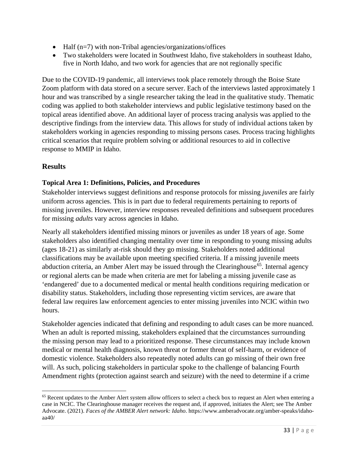- Half (n=7) with non-Tribal agencies/organizations/offices
- Two stakeholders were located in Southwest Idaho, five stakeholders in southeast Idaho, five in North Idaho, and two work for agencies that are not regionally specific

Due to the COVID-19 pandemic, all interviews took place remotely through the Boise State Zoom platform with data stored on a secure server. Each of the interviews lasted approximately 1 hour and was transcribed by a single researcher taking the lead in the qualitative study. Thematic coding was applied to both stakeholder interviews and public legislative testimony based on the topical areas identified above. An additional layer of process tracing analysis was applied to the descriptive findings from the interview data. This allows for study of individual actions taken by stakeholders working in agencies responding to missing persons cases. Process tracing highlights critical scenarios that require problem solving or additional resources to aid in collective response to MMIP in Idaho.

#### <span id="page-37-0"></span>**Results**

#### **Topical Area 1: Definitions, Policies, and Procedures**

Stakeholder interviews suggest definitions and response protocols for missing *juveniles* are fairly uniform across agencies. This is in part due to federal requirements pertaining to reports of missing juveniles. However, interview responses revealed definitions and subsequent procedures for missing *adults* vary across agencies in Idaho.

Nearly all stakeholders identified missing minors or juveniles as under 18 years of age. Some stakeholders also identified changing mentality over time in responding to young missing adults (ages 18-21) as similarly at-risk should they go missing. Stakeholders noted additional classifications may be available upon meeting specified criteria. If a missing juvenile meets abduction criteria, an Amber Alert may be issued through the Clearinghouse<sup>65</sup>. Internal agency or regional alerts can be made when criteria are met for labeling a missing juvenile case as 'endangered' due to a documented medical or mental health conditions requiring medication or disability status. Stakeholders, including those representing victim services, are aware that federal law requires law enforcement agencies to enter missing juveniles into NCIC within two hours.

Stakeholder agencies indicated that defining and responding to adult cases can be more nuanced. When an adult is reported missing, stakeholders explained that the circumstances surrounding the missing person may lead to a prioritized response. These circumstances may include known medical or mental health diagnosis, known threat or former threat of self-harm, or evidence of domestic violence. Stakeholders also repeatedly noted adults can go missing of their own free will. As such, policing stakeholders in particular spoke to the challenge of balancing Fourth Amendment rights (protection against search and seizure) with the need to determine if a crime

<span id="page-37-1"></span><sup>&</sup>lt;sup>65</sup> Recent updates to the Amber Alert system allow officers to select a check box to request an Alert when entering a case in NCIC. The Clearinghouse manager receives the request and, if approved, initiates the Alert; see The Amber Advocate. (2021). *Faces of the AMBER Alert network: Idaho*. https://www.amberadvocate.org/amber-speaks/idahoaa40/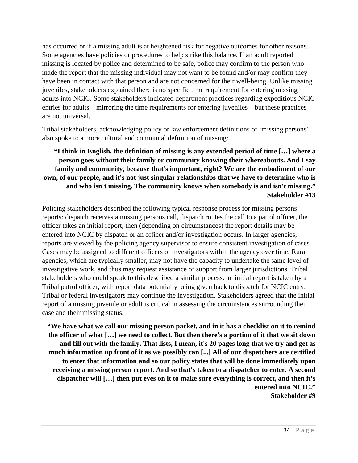has occurred or if a missing adult is at heightened risk for negative outcomes for other reasons. Some agencies have policies or procedures to help strike this balance. If an adult reported missing is located by police and determined to be safe, police may confirm to the person who made the report that the missing individual may not want to be found and/or may confirm they have been in contact with that person and are not concerned for their well-being. Unlike missing juveniles, stakeholders explained there is no specific time requirement for entering missing adults into NCIC. Some stakeholders indicated department practices regarding expeditious NCIC entries for adults – mirroring the time requirements for entering juveniles – but these practices are not universal.

Tribal stakeholders, acknowledging policy or law enforcement definitions of 'missing persons' also spoke to a more cultural and communal definition of missing:

#### **"I think in English, the definition of missing is any extended period of time […] where a person goes without their family or community knowing their whereabouts. And I say family and community, because that's important, right? We are the embodiment of our own, of our people, and it's not just singular relationships that we have to determine who is and who isn't missing. The community knows when somebody is and isn't missing." Stakeholder #13**

Policing stakeholders described the following typical response process for missing persons reports: dispatch receives a missing persons call, dispatch routes the call to a patrol officer, the officer takes an initial report, then (depending on circumstances) the report details may be entered into NCIC by dispatch or an officer and/or investigation occurs. In larger agencies, reports are viewed by the policing agency supervisor to ensure consistent investigation of cases. Cases may be assigned to different officers or investigators within the agency over time. Rural agencies, which are typically smaller, may not have the capacity to undertake the same level of investigative work, and thus may request assistance or support from larger jurisdictions. Tribal stakeholders who could speak to this described a similar process: an initial report is taken by a Tribal patrol officer, with report data potentially being given back to dispatch for NCIC entry. Tribal or federal investigators may continue the investigation. Stakeholders agreed that the initial report of a missing juvenile or adult is critical in assessing the circumstances surrounding their case and their missing status.

**"We have what we call our missing person packet, and in it has a checklist on it to remind the officer of what […] we need to collect. But then there's a portion of it that we sit down and fill out with the family. That lists, I mean, it's 20 pages long that we try and get as much information up front of it as we possibly can [...] All of our dispatchers are certified to enter that information and so our policy states that will be done immediately upon receiving a missing person report. And so that's taken to a dispatcher to enter. A second dispatcher will […] then put eyes on it to make sure everything is correct, and then it's entered into NCIC." Stakeholder #9**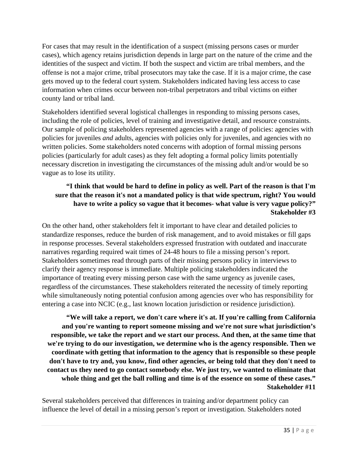For cases that may result in the identification of a suspect (missing persons cases or murder cases), which agency retains jurisdiction depends in large part on the nature of the crime and the identities of the suspect and victim. If both the suspect and victim are tribal members, and the offense is not a major crime, tribal prosecutors may take the case. If it is a major crime, the case gets moved up to the federal court system. Stakeholders indicated having less access to case information when crimes occur between non-tribal perpetrators and tribal victims on either county land or tribal land.

Stakeholders identified several logistical challenges in responding to missing persons cases, including the role of policies, level of training and investigative detail, and resource constraints. Our sample of policing stakeholders represented agencies with a range of policies: agencies with policies for juveniles *and* adults, agencies with policies only for juveniles, and agencies with no written policies. Some stakeholders noted concerns with adoption of formal missing persons policies (particularly for adult cases) as they felt adopting a formal policy limits potentially necessary discretion in investigating the circumstances of the missing adult and/or would be so vague as to lose its utility.

#### **"I think that would be hard to define in policy as well. Part of the reason is that I'm sure that the reason it's not a mandated policy is that wide spectrum, right? You would have to write a policy so vague that it becomes- what value is very vague policy?" Stakeholder #3**

On the other hand, other stakeholders felt it important to have clear and detailed policies to standardize responses, reduce the burden of risk management, and to avoid mistakes or fill gaps in response processes. Several stakeholders expressed frustration with outdated and inaccurate narratives regarding required wait times of 24-48 hours to file a missing person's report. Stakeholders sometimes read through parts of their missing persons policy in interviews to clarify their agency response is immediate. Multiple policing stakeholders indicated the importance of treating every missing person case with the same urgency as juvenile cases, regardless of the circumstances. These stakeholders reiterated the necessity of timely reporting while simultaneously noting potential confusion among agencies over who has responsibility for entering a case into NCIC (e.g., last known location jurisdiction or residence jurisdiction).

**"We will take a report, we don't care where it's at. If you're calling from California and you're wanting to report someone missing and we're not sure what jurisdiction's responsible, we take the report and we start our process. And then, at the same time that we're trying to do our investigation, we determine who is the agency responsible. Then we coordinate with getting that information to the agency that is responsible so these people don't have to try and, you know, find other agencies, or being told that they don't need to contact us they need to go contact somebody else. We just try, we wanted to eliminate that whole thing and get the ball rolling and time is of the essence on some of these cases." Stakeholder #11**

Several stakeholders perceived that differences in training and/or department policy can influence the level of detail in a missing person's report or investigation. Stakeholders noted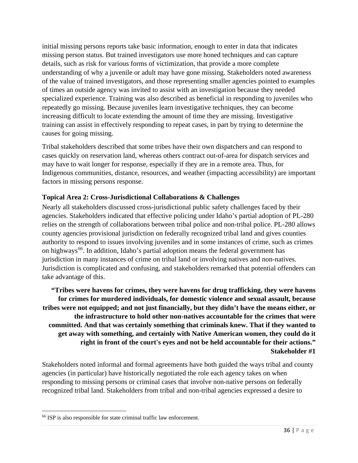initial missing persons reports take basic information, enough to enter in data that indicates missing person status. But trained investigators use more honed techniques and can capture details, such as risk for various forms of victimization, that provide a more complete understanding of why a juvenile or adult may have gone missing. Stakeholders noted awareness of the value of trained investigators, and those representing smaller agencies pointed to examples of times an outside agency was invited to assist with an investigation because they needed specialized experience. Training was also described as beneficial in responding to juveniles who repeatedly go missing. Because juveniles learn investigative techniques, they can become increasing difficult to locate extending the amount of time they are missing. Investigative training can assist in effectively responding to repeat cases, in part by trying to determine the causes for going missing.

Tribal stakeholders described that some tribes have their own dispatchers and can respond to cases quickly on reservation land, whereas others contract out-of-area for dispatch services and may have to wait longer for response, especially if they are in a remote area. Thus, for Indigenous communities, distance, resources, and weather (impacting accessibility) are important factors in missing persons response.

#### **Topical Area 2: Cross-Jurisdictional Collaborations & Challenges**

Nearly all stakeholders discussed cross-jurisdictional public safety challenges faced by their agencies. Stakeholders indicated that effective policing under Idaho's partial adoption of PL-280 relies on the strength of collaborations between tribal police and non-tribal police. PL-280 allows county agencies provisional jurisdiction on federally recognized tribal land and gives counties authority to respond to issues involving juveniles and in some instances of crime, such as crimes on highways<sup>66</sup>. In addition, Idaho's partial adoption means the federal government has jurisdiction in many instances of crime on tribal land or involving natives and non-natives. Jurisdiction is complicated and confusing, and stakeholders remarked that potential offenders can take advantage of this.

**"Tribes were havens for crimes, they were havens for drug trafficking, they were havens for crimes for murdered individuals, for domestic violence and sexual assault, because tribes were not equipped; and not just financially, but they didn't have the means either, or the infrastructure to hold other non-natives accountable for the crimes that were committed. And that was certainly something that criminals knew. That if they wanted to get away with something, and certainly with Native American women, they could do it right in front of the court's eyes and not be held accountable for their actions." Stakeholder #1**

Stakeholders noted informal and formal agreements have both guided the ways tribal and county agencies (in particular) have historically negotiated the role each agency takes on when responding to missing persons or criminal cases that involve non-native persons on federally recognized tribal land. Stakeholders from tribal and non-tribal agencies expressed a desire to

<span id="page-40-0"></span><sup>66</sup> ISP is also responsible for state criminal traffic law enforcement.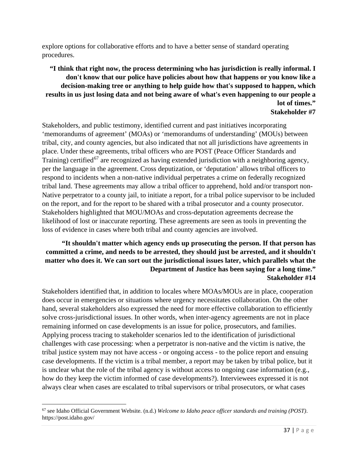explore options for collaborative efforts and to have a better sense of standard operating procedures.

#### **"I think that right now, the process determining who has jurisdiction is really informal. I don't know that our police have policies about how that happens or you know like a decision-making tree or anything to help guide how that's supposed to happen, which results in us just losing data and not being aware of what's even happening to our people a lot of times." Stakeholder #7**

Stakeholders, and public testimony, identified current and past initiatives incorporating 'memorandums of agreement' (MOAs) or 'memorandums of understanding' (MOUs) between tribal, city, and county agencies, but also indicated that not all jurisdictions have agreements in place. Under these agreements, tribal officers who are POST (Peace Officer Standards and Training) certified<sup>[67](#page-41-0)</sup> are recognized as having extended jurisdiction with a neighboring agency, per the language in the agreement. Cross deputization, or 'deputation' allows tribal officers to respond to incidents when a non-native individual perpetrates a crime on federally recognized tribal land. These agreements may allow a tribal officer to apprehend, hold and/or transport non-Native perpetrator to a county jail, to initiate a report, for a tribal police supervisor to be included on the report, and for the report to be shared with a tribal prosecutor and a county prosecutor. Stakeholders highlighted that MOU/MOAs and cross-deputation agreements decrease the likelihood of lost or inaccurate reporting. These agreements are seen as tools in preventing the loss of evidence in cases where both tribal and county agencies are involved.

#### **"It shouldn't matter which agency ends up prosecuting the person. If that person has committed a crime, and needs to be arrested, they should just be arrested, and it shouldn't matter who does it. We can sort out the jurisdictional issues later, which parallels what the Department of Justice has been saying for a long time." Stakeholder #14**

Stakeholders identified that, in addition to locales where MOAs/MOUs are in place, cooperation does occur in emergencies or situations where urgency necessitates collaboration. On the other hand, several stakeholders also expressed the need for more effective collaboration to efficiently solve cross-jurisdictional issues. In other words, when inter-agency agreements are not in place remaining informed on case developments is an issue for police, prosecutors, and families. Applying process tracing to stakeholder scenarios led to the identification of jurisdictional challenges with case processing: when a perpetrator is non-native and the victim is native, the tribal justice system may not have access - or ongoing access - to the police report and ensuing case developments. If the victim is a tribal member, a report may be taken by tribal police, but it is unclear what the role of the tribal agency is without access to ongoing case information (e.g., how do they keep the victim informed of case developments?). Interviewees expressed it is not always clear when cases are escalated to tribal supervisors or tribal prosecutors, or what cases

<span id="page-41-0"></span><sup>67</sup> see Idaho Official Government Website. (n.d.) *Welcome to Idaho peace officer standards and training (POST)*. https://post.idaho.gov/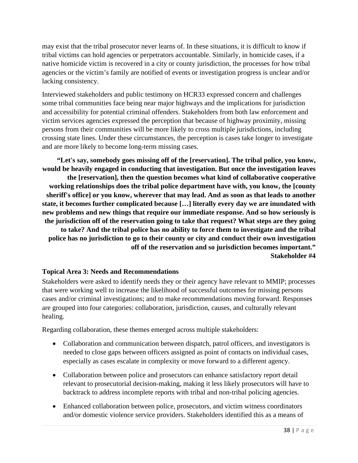may exist that the tribal prosecutor never learns of. In these situations, it is difficult to know if tribal victims can hold agencies or perpetrators accountable. Similarly, in homicide cases, if a native homicide victim is recovered in a city or county jurisdiction, the processes for how tribal agencies or the victim's family are notified of events or investigation progress is unclear and/or lacking consistency.

Interviewed stakeholders and public testimony on HCR33 expressed concern and challenges some tribal communities face being near major highways and the implications for jurisdiction and accessibility for potential criminal offenders. Stakeholders from both law enforcement and victim services agencies expressed the perception that because of highway proximity, missing persons from their communities will be more likely to cross multiple jurisdictions, including crossing state lines. Under these circumstances, the perception is cases take longer to investigate and are more likely to become long-term missing cases.

**"Let's say, somebody goes missing off of the [reservation]. The tribal police, you know, would be heavily engaged in conducting that investigation. But once the investigation leaves the [reservation], then the question becomes what kind of collaborative cooperative working relationships does the tribal police department have with, you know, the [county sheriff's office] or you know, wherever that may lead. And as soon as that leads to another state, it becomes further complicated because […] literally every day we are inundated with new problems and new things that require our immediate response. And so how seriously is the jurisdiction off of the reservation going to take that request? What steps are they going to take? And the tribal police has no ability to force them to investigate and the tribal police has no jurisdiction to go to their county or city and conduct their own investigation off of the reservation and so jurisdiction becomes important." Stakeholder #4**

#### **Topical Area 3: Needs and Recommendations**

Stakeholders were asked to identify needs they or their agency have relevant to MMIP; processes that were working well to increase the likelihood of successful outcomes for missing persons cases and/or criminal investigations; and to make recommendations moving forward. Responses are grouped into four categories: collaboration, jurisdiction, causes, and culturally relevant healing.

Regarding collaboration, these themes emerged across multiple stakeholders:

- Collaboration and communication between dispatch, patrol officers, and investigators is needed to close gaps between officers assigned as point of contacts on individual cases, especially as cases escalate in complexity or move forward to a different agency.
- Collaboration between police and prosecutors can enhance satisfactory report detail relevant to prosecutorial decision-making, making it less likely prosecutors will have to backtrack to address incomplete reports with tribal and non-tribal policing agencies.
- Enhanced collaboration between police, prosecutors, and victim witness coordinators and/or domestic violence service providers. Stakeholders identified this as a means of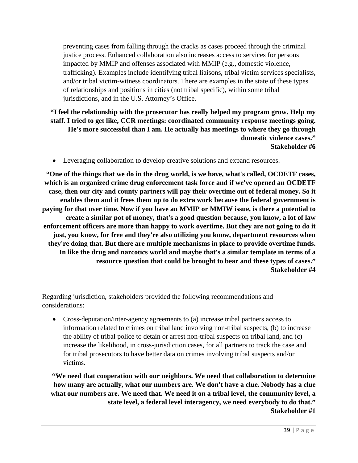preventing cases from falling through the cracks as cases proceed through the criminal justice process. Enhanced collaboration also increases access to services for persons impacted by MMIP and offenses associated with MMIP (e.g., domestic violence, trafficking). Examples include identifying tribal liaisons, tribal victim services specialists, and/or tribal victim-witness coordinators. There are examples in the state of these types of relationships and positions in cities (not tribal specific), within some tribal jurisdictions, and in the U.S. Attorney's Office.

**"I feel the relationship with the prosecutor has really helped my program grow. Help my staff. I tried to get like, CCR meetings: coordinated community response meetings going. He's more successful than I am. He actually has meetings to where they go through domestic violence cases." Stakeholder #6** 

• Leveraging collaboration to develop creative solutions and expand resources.

**"One of the things that we do in the drug world, is we have, what's called, OCDETF cases, which is an organized crime drug enforcement task force and if we've opened an OCDETF case, then our city and county partners will pay their overtime out of federal money. So it enables them and it frees them up to do extra work because the federal government is paying for that over time. Now if you have an MMIP or MMIW issue, is there a potential to create a similar pot of money, that's a good question because, you know, a lot of law enforcement officers are more than happy to work overtime. But they are not going to do it just, you know, for free and they're also utilizing you know, department resources when they're doing that. But there are multiple mechanisms in place to provide overtime funds. In like the drug and narcotics world and maybe that's a similar template in terms of a resource question that could be brought to bear and these types of cases." Stakeholder #4**

Regarding jurisdiction, stakeholders provided the following recommendations and considerations:

• Cross-deputation/inter-agency agreements to (a) increase tribal partners access to information related to crimes on tribal land involving non-tribal suspects, (b) to increase the ability of tribal police to detain or arrest non-tribal suspects on tribal land, and (c) increase the likelihood, in cross-jurisdiction cases, for all partners to track the case and for tribal prosecutors to have better data on crimes involving tribal suspects and/or victims.

**"We need that cooperation with our neighbors. We need that collaboration to determine how many are actually, what our numbers are. We don't have a clue. Nobody has a clue what our numbers are. We need that. We need it on a tribal level, the community level, a state level, a federal level interagency, we need everybody to do that." Stakeholder #1**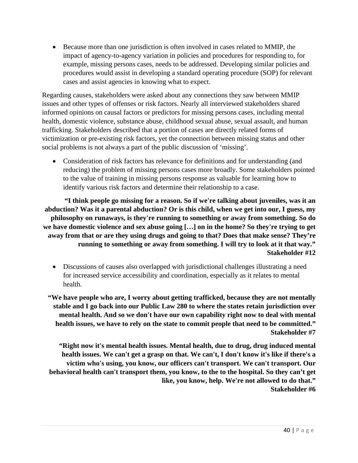• Because more than one jurisdiction is often involved in cases related to MMIP, the impact of agency-to-agency variation in policies and procedures for responding to, for example, missing persons cases, needs to be addressed. Developing similar policies and procedures would assist in developing a standard operating procedure (SOP) for relevant cases and assist agencies in knowing what to expect.

Regarding causes, stakeholders were asked about any connections they saw between MMIP issues and other types of offenses or risk factors. Nearly all interviewed stakeholders shared informed opinions on causal factors or predictors for missing persons cases, including mental health, domestic violence, substance abuse, childhood sexual abuse, sexual assault, and human trafficking. Stakeholders described that a portion of cases are directly related forms of victimization or pre-existing risk factors, yet the connection between missing status and other social problems is not always a part of the public discussion of 'missing'.

• Consideration of risk factors has relevance for definitions and for understanding (and reducing) the problem of missing persons cases more broadly. Some stakeholders pointed to the value of training in missing persons response as valuable for learning how to identify various risk factors and determine their relationship to a case.

**"I think people go missing for a reason. So if we're talking about juveniles, was it an abduction? Was it a parental abduction? Or is this child, when we get into our, I guess, my philosophy on runaways, is they're running to something or away from something. So do we have domestic violence and sex abuse going […] on in the home? So they're trying to get away from that or are they using drugs and going to that? Does that make sense? They're running to something or away from something. I will try to look at it that way." Stakeholder #12**

• Discussions of causes also overlapped with jurisdictional challenges illustrating a need for increased service accessibility and coordination, especially as it relates to mental health.

**"We have people who are, I worry about getting trafficked, because they are not mentally stable and I go back into our Public Law 280 to where the states retain jurisdiction over mental health. And so we don't have our own capability right now to deal with mental health issues, we have to rely on the state to commit people that need to be committed." Stakeholder #7**

**"Right now it's mental health issues. Mental health, due to drug, drug induced mental health issues. We can't get a grasp on that. We can't, I don't know it's like if there's a victim who's using, you know, our officers can't transport. We can't transport. Our behavioral health can't transport them, you know, to the to the hospital. So they can't get like, you know, help. We're not allowed to do that." Stakeholder #6**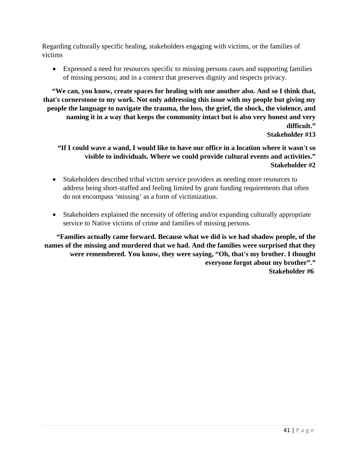Regarding culturally specific healing, stakeholders engaging with victims, or the families of victims

• Expressed a need for resources specific to missing persons cases and supporting families of missing persons; and in a context that preserves dignity and respects privacy.

**"We can, you know, create spaces for healing with one another also. And so I think that, that's cornerstone to my work. Not only addressing this issue with my people but giving my people the language to navigate the trauma, the loss, the grief, the shock, the violence, and naming it in a way that keeps the community intact but is also very honest and very difficult."**

**Stakeholder #13**

#### **"If I could wave a wand, I would like to have our office in a location where it wasn't so visible to individuals. Where we could provide cultural events and activities." Stakeholder #2**

- Stakeholders described tribal victim service providers as needing more resources to address being short-staffed and feeling limited by grant funding requirements that often do not encompass 'missing' as a form of victimization.
- Stakeholders explained the necessity of offering and/or expanding culturally appropriate service to Native victims of crime and families of missing persons.

**"Families actually came forward. Because what we did is we had shadow people, of the names of the missing and murdered that we had. And the families were surprised that they were remembered. You know, they were saying, "Oh, that's my brother. I thought everyone forgot about my brother"." Stakeholder #6**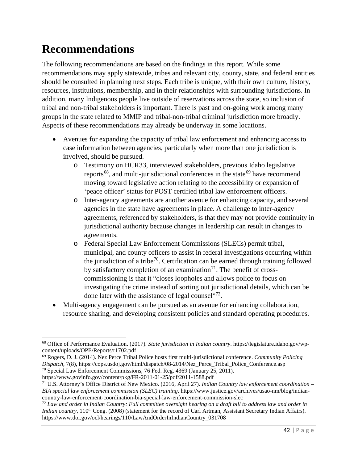## <span id="page-46-0"></span>**Recommendations**

The following recommendations are based on the findings in this report. While some recommendations may apply statewide, tribes and relevant city, county, state, and federal entities should be consulted in planning next steps. Each tribe is unique, with their own culture, history, resources, institutions, membership, and in their relationships with surrounding jurisdictions. In addition, many Indigenous people live outside of reservations across the state, so inclusion of tribal and non-tribal stakeholders is important. There is past and on-going work among many groups in the state related to MMIP and tribal-non-tribal criminal jurisdiction more broadly. Aspects of these recommendations may already be underway in some locations.

- Avenues for expanding the capacity of tribal law enforcement and enhancing access to case information between agencies, particularly when more than one jurisdiction is involved, should be pursued.
	- o Testimony on HCR33, interviewed stakeholders, previous Idaho legislative reports<sup>[68](#page-46-1)</sup>, and multi-jurisdictional conferences in the state<sup>[69](#page-46-2)</sup> have recommend moving toward legislative action relating to the accessibility or expansion of 'peace officer' status for POST certified tribal law enforcement officers.
	- o Inter-agency agreements are another avenue for enhancing capacity, and several agencies in the state have agreements in place. A challenge to inter-agency agreements, referenced by stakeholders, is that they may not provide continuity in jurisdictional authority because changes in leadership can result in changes to agreements.
	- o Federal Special Law Enforcement Commissions (SLECs) permit tribal, municipal, and county officers to assist in federal investigations occurring within the jurisdiction of a tribe<sup>[70](#page-46-3)</sup>. Certification can be earned through training followed by satisfactory completion of an examination<sup>71</sup>. The benefit of crosscommissioning is that it "closes loopholes and allows police to focus on investigating the crime instead of sorting out jurisdictional details, which can be done later with the assistance of legal counsel<sup>"[72](#page-46-5)</sup>.
- Multi-agency engagement can be pursued as an avenue for enhancing collaboration, resource sharing, and developing consistent policies and standard operating procedures.

<span id="page-46-1"></span><sup>68</sup> Office of Performance Evaluation. (2017). *State jurisdiction in Indian country*. https://legislature.idaho.gov/wpcontent/uploads/OPE/Reports/r1702.pdf

<span id="page-46-2"></span><sup>69</sup> Rogers, D. J. (2014). Nez Perce Tribal Police hosts first multi-jurisdictional conference. *Community Policing Dispatch*, 7(8), https://cops.usdoj.gov/html/dispatch/08-2014/Nez\_Perce\_Tribal\_Police\_Conference.asp <sup>70</sup> Special Law Enforcement Commissions, 76 Fed. Reg. 4369 (January 25, 2011).

<span id="page-46-3"></span>https://www.govinfo.gov/content/pkg/FR-2011-01-25/pdf/2011-1588.pdf

<span id="page-46-4"></span><sup>71</sup> U.S. Attorney's Office District of New Mexico. (2016, April 27). *Indian Country law enforcement coordination – BIA special law enforcement commission (SLEC) training*. https://www.justice.gov/archives/usao-nm/blog/indiancountry-law-enforcement-coordination-bia-special-law-enforcement-commission-slec

<span id="page-46-5"></span><sup>72</sup> *Law and order in Indian Country: Full committee oversight hearing on a draft bill to address law and order in Indian country*, 110<sup>th</sup> Cong. (2008) (statement for the record of Carl Artman, Assistant Secretary Indian Affairs). https://www.doi.gov/ocl/hearings/110/LawAndOrderInIndianCountry\_031708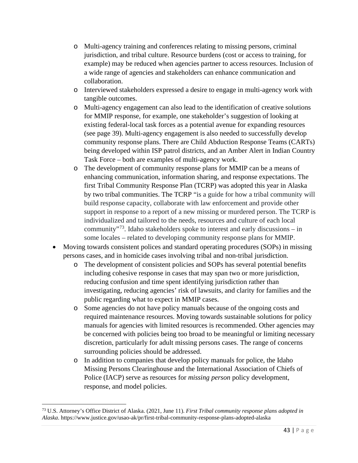- o Multi-agency training and conferences relating to missing persons, criminal jurisdiction, and tribal culture. Resource burdens (cost or access to training, for example) may be reduced when agencies partner to access resources. Inclusion of a wide range of agencies and stakeholders can enhance communication and collaboration.
- o Interviewed stakeholders expressed a desire to engage in multi-agency work with tangible outcomes.
- o Multi-agency engagement can also lead to the identification of creative solutions for MMIP response, for example, one stakeholder's suggestion of looking at existing federal-local task forces as a potential avenue for expanding resources (see page 39). Multi-agency engagement is also needed to successfully develop community response plans. There are Child Abduction Response Teams (CARTs) being developed within ISP patrol districts, and an Amber Alert in Indian Country Task Force – both are examples of multi-agency work.
- o The development of community response plans for MMIP can be a means of enhancing communication, information sharing, and response expectations. The first Tribal Community Response Plan (TCRP) was adopted this year in Alaska by two tribal communities. The TCRP "is a guide for how a tribal community will build response capacity, collaborate with law enforcement and provide other support in response to a report of a new missing or murdered person. The TCRP is individualized and tailored to the needs, resources and culture of each local community"<sup>73</sup>. Idaho stakeholders spoke to interest and early discussions – in some locales – related to developing community response plans for MMIP.
- Moving towards consistent polices and standard operating procedures (SOPs) in missing persons cases, and in homicide cases involving tribal and non-tribal jurisdiction.
	- o The development of consistent policies and SOPs has several potential benefits including cohesive response in cases that may span two or more jurisdiction, reducing confusion and time spent identifying jurisdiction rather than investigating, reducing agencies' risk of lawsuits, and clarity for families and the public regarding what to expect in MMIP cases.
	- o Some agencies do not have policy manuals because of the ongoing costs and required maintenance resources. Moving towards sustainable solutions for policy manuals for agencies with limited resources is recommended. Other agencies may be concerned with policies being too broad to be meaningful or limiting necessary discretion, particularly for adult missing persons cases. The range of concerns surrounding policies should be addressed.
	- o In addition to companies that develop policy manuals for police, the Idaho Missing Persons Clearinghouse and the International Association of Chiefs of Police (IACP) serve as resources for *missing person* policy development, response, and model policies.

<span id="page-47-0"></span><sup>73</sup> U.S. Attorney's Office District of Alaska. (2021, June 11). *First Tribal community response plans adopted in Alaska*. https://www.justice.gov/usao-ak/pr/first-tribal-community-response-plans-adopted-alaska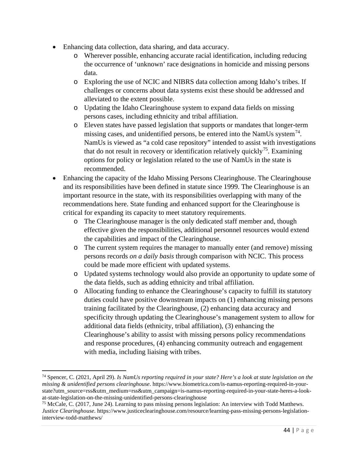- Enhancing data collection, data sharing, and data accuracy.
	- o Wherever possible, enhancing accurate racial identification, including reducing the occurrence of 'unknown' race designations in homicide and missing persons data.
	- o Exploring the use of NCIC and NIBRS data collection among Idaho's tribes. If challenges or concerns about data systems exist these should be addressed and alleviated to the extent possible.
	- o Updating the Idaho Clearinghouse system to expand data fields on missing persons cases, including ethnicity and tribal affiliation.
	- o Eleven states have passed legislation that supports or mandates that longer-term missing cases, and unidentified persons, be entered into the NamUs system<sup>[74](#page-48-0)</sup>. NamUs is viewed as "a cold case repository" intended to assist with investigations that do not result in recovery or identification relatively quickly<sup>[75](#page-48-1)</sup>. Examining options for policy or legislation related to the use of NamUs in the state is recommended.
- Enhancing the capacity of the Idaho Missing Persons Clearinghouse. The Clearinghouse and its responsibilities have been defined in statute since 1999. The Clearinghouse is an important resource in the state, with its responsibilities overlapping with many of the recommendations here. State funding and enhanced support for the Clearinghouse is critical for expanding its capacity to meet statutory requirements.
	- o The Clearinghouse manager is the only dedicated staff member and, though effective given the responsibilities, additional personnel resources would extend the capabilities and impact of the Clearinghouse.
	- o The current system requires the manager to manually enter (and remove) missing persons records *on a daily basis* through comparison with NCIC. This process could be made more efficient with updated systems.
	- o Updated systems technology would also provide an opportunity to update some of the data fields, such as adding ethnicity and tribal affiliation.
	- o Allocating funding to enhance the Clearinghouse's capacity to fulfill its statutory duties could have positive downstream impacts on (1) enhancing missing persons training facilitated by the Clearinghouse, (2) enhancing data accuracy and specificity through updating the Clearinghouse's management system to allow for additional data fields (ethnicity, tribal affiliation), (3) enhancing the Clearinghouse's ability to assist with missing persons policy recommendations and response procedures, (4) enhancing community outreach and engagement with media, including liaising with tribes.

<span id="page-48-0"></span><sup>74</sup> Spencer, C. (2021, April 29). *Is NamUs reporting required in your state? Here's a look at state legislation on the missing & unidentified persons clearinghouse*. https://www.biometrica.com/is-namus-reporting-required-in-yourstate?utm\_source=rss&utm\_medium=rss&utm\_campaign=is-namus-reporting-required-in-your-state-heres-a-lookat-state-legislation-on-the-missing-unidentified-persons-clearinghouse

<span id="page-48-1"></span><sup>75</sup> McCale, C. (2017, June 24). Learning to pass missing persons legislation: An interview with Todd Matthews. *Justice Clearinghouse*. https://www.justiceclearinghouse.com/resource/learning-pass-missing-persons-legislationinterview-todd-matthews/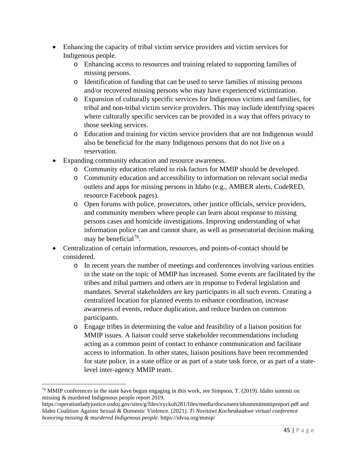- Enhancing the capacity of tribal victim service providers and victim services for Indigenous people.
	- o Enhancing access to resources and training related to supporting families of missing persons.
	- o Identification of funding that can be used to serve families of missing persons and/or recovered missing persons who may have experienced victimization.
	- o Expansion of culturally specific services for Indigenous victims and families, for tribal and non-tribal victim service providers. This may include identifying spaces where culturally specific services can be provided in a way that offers privacy to those seeking services.
	- o Education and training for victim service providers that are not Indigenous would also be beneficial for the many Indigenous persons that do not live on a reservation.
- Expanding community education and resource awareness.
	- o Community education related to risk factors for MMIP should be developed.
	- o Community education and accessibility to information on relevant social media outlets and apps for missing persons in Idaho (e.g., AMBER alerts, CodeRED, resource Facebook pages).
	- o Open forums with police, prosecutors, other justice officials, service providers, and community members where people can learn about response to missing persons cases and homicide investigations. Improving understanding of what information police can and cannot share, as well as prosecutorial decision making may be beneficial<sup>76</sup>.
- Centralization of certain information, resources, and points-of-contact should be considered.
	- o In recent years the number of meetings and conferences involving various entities in the state on the topic of MMIP has increased. Some events are facilitated by the tribes and tribal partners and others are in response to Federal legislation and mandates. Several stakeholders are key participants in all such events. Creating a centralized location for planned events to enhance coordination, increase awareness of events, reduce duplication, and reduce burden on common participants.
	- o Engage tribes in determining the value and feasibility of a liaison position for MMIP issues. A liaison could serve stakeholder recommendations including acting as a common point of contact to enhance communication and facilitate access to information. In other states, liaison positions have been recommended for state police, in a state office or as part of a state task force, or as part of a statelevel inter-agency MMIP team.

<span id="page-49-0"></span> $^{76}$  MMIP conferences in the state have begun engaging in this work, see Simpson, T. (2019). Idaho summit on missing & murdered Indigenous people report 2019.

https://operationladyjustice.usdoj.gov/sites/g/files/xyckuh281/files/media/document/idsummitmmipreport.pdf and Idaho Coalition Against Sexual & Domestic Violence. (2021). *Ti Novitawi Kocheukaakwe virtual conference honoring missing & murdered Indigenous people*. https://idvsa.org/mmip/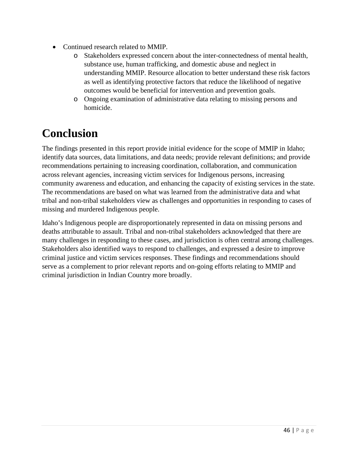- Continued research related to MMIP.
	- Stakeholders expressed concern about the inter-connectedness of mental health, substance use, human trafficking, and domestic abuse and neglect in understanding MMIP. Resource allocation to better understand these risk factors as well as identifying protective factors that reduce the likelihood of negative outcomes would be beneficial for intervention and prevention goals.
	- o Ongoing examination of administrative data relating to missing persons and homicide.

## <span id="page-50-0"></span>**Conclusion**

The findings presented in this report provide initial evidence for the scope of MMIP in Idaho; identify data sources, data limitations, and data needs; provide relevant definitions; and provide recommendations pertaining to increasing coordination, collaboration, and communication across relevant agencies, increasing victim services for Indigenous persons, increasing community awareness and education, and enhancing the capacity of existing services in the state. The recommendations are based on what was learned from the administrative data and what tribal and non-tribal stakeholders view as challenges and opportunities in responding to cases of missing and murdered Indigenous people.

Idaho's Indigenous people are disproportionately represented in data on missing persons and deaths attributable to assault. Tribal and non-tribal stakeholders acknowledged that there are many challenges in responding to these cases, and jurisdiction is often central among challenges. Stakeholders also identified ways to respond to challenges, and expressed a desire to improve criminal justice and victim services responses. These findings and recommendations should serve as a complement to prior relevant reports and on-going efforts relating to MMIP and criminal jurisdiction in Indian Country more broadly.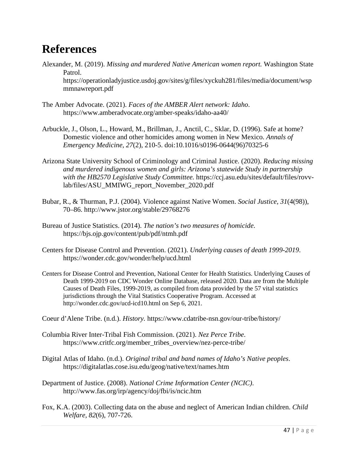### <span id="page-51-0"></span>**References**

- Alexander, M. (2019). *Missing and murdered Native American women report.* Washington State Patrol. https://operationladyjustice.usdoj.gov/sites/g/files/xyckuh281/files/media/document/wsp mmnawreport.pdf
- The Amber Advocate. (2021). *Faces of the AMBER Alert network: Idaho*. https://www.amberadvocate.org/amber-speaks/idaho-aa40/
- Arbuckle, J., Olson, L., Howard, M., Brillman, J., Anctil, C., Sklar, D. (1996). Safe at home? Domestic violence and other homicides among women in New Mexico. *Annals of Emergency Medicine, 27*(2), 210-5. doi:10.1016/s0196-0644(96)70325-6
- Arizona State University School of Criminology and Criminal Justice. (2020). *Reducing missing and murdered indigenous women and girls: Arizona's statewide Study in partnership with the HB2570 Legislative Study Committee.* https://ccj.asu.edu/sites/default/files/rovvlab/files/ASU\_MMIWG\_report\_November\_2020.pdf
- Bubar, R., & Thurman, P.J. (2004). Violence against Native Women. *Social Justice, 31*(4(98)), 70–86. http://www.jstor.org/stable/29768276
- Bureau of Justice Statistics. (2014). *The nation's two measures of homicide.*  https://bjs.ojp.gov/content/pub/pdf/ntmh.pdf
- Centers for Disease Control and Prevention. (2021). *Underlying causes of death 1999-2019*. https://wonder.cdc.gov/wonder/help/ucd.html
- Centers for Disease Control and Prevention, National Center for Health Statistics. Underlying Causes of Death 1999-2019 on CDC Wonder Online Database, released 2020. Data are from the Multiple Causes of Death Files, 1999-2019, as compiled from data provided by the 57 vital statistics jurisdictions through the Vital Statistics Cooperative Program. Accessed at http://wonder.cdc.gov/ucd-icd10.html on Sep 6, 2021.
- Coeur d'Alene Tribe. (n.d.). *History.* https://www.cdatribe-nsn.gov/our-tribe/history/
- Columbia River Inter-Tribal Fish Commission. (2021). *Nez Perce Tribe*. https://www.critfc.org/member\_tribes\_overview/nez-perce-tribe/
- Digital Atlas of Idaho. (n.d.). *Original tribal and band names of Idaho's Native peoples*. https://digitalatlas.cose.isu.edu/geog/native/text/names.htm
- Department of Justice. (2008). *National Crime Information Center (NCIC)*. http://www.fas.org/irp/agency/doj/fbi/is/ncic.htm
- Fox, K.A. (2003). Collecting data on the abuse and neglect of American Indian children. *Child Welfare, 82*(6), 707-726.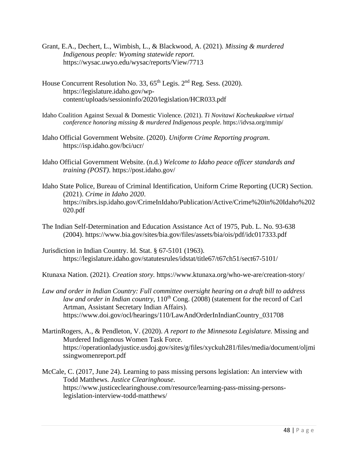- Grant, E.A., Dechert, L., Wimbish, L., & Blackwood, A. (2021)*. Missing & murdered Indigenous people: Wyoming statewide report.*  https://wysac.uwyo.edu/wysac/reports/View/7713
- House Concurrent Resolution No. 33,  $65<sup>th</sup>$  Legis.  $2<sup>nd</sup>$  Reg. Sess. (2020). https://legislature.idaho.gov/wpcontent/uploads/sessioninfo/2020/legislation/HCR033.pdf
- Idaho Coalition Against Sexual & Domestic Violence. (2021). *Ti Novitawi Kocheukaakwe virtual conference honoring missing & murdered Indigenous people*. https://idvsa.org/mmip/
- Idaho Official Government Website. (2020). *Uniform Crime Reporting program*. https://isp.idaho.gov/bci/ucr/
- Idaho Official Government Website. (n.d.) *Welcome to Idaho peace officer standards and training (POST)*. https://post.idaho.gov/
- Idaho State Police, Bureau of Criminal Identification, Uniform Crime Reporting (UCR) Section. (2021). *Crime in Idaho 2020*. https://nibrs.isp.idaho.gov/CrimeInIdaho/Publication/Active/Crime%20in%20Idaho%202 020.pdf
- The Indian Self-Determination and Education Assistance Act of 1975, Pub. L. No. 93-638 (2004). https://www.bia.gov/sites/bia.gov/files/assets/bia/ois/pdf/idc017333.pdf
- Jurisdiction in Indian Country. Id. Stat. § 67-5101 (1963). https://legislature.idaho.gov/statutesrules/idstat/title67/t67ch51/sect67-5101/

Ktunaxa Nation. (2021). *Creation story.* https://www.ktunaxa.org/who-we-are/creation-story/

- *Law and order in Indian Country: Full committee oversight hearing on a draft bill to address law and order in Indian country*, 110<sup>th</sup> Cong. (2008) (statement for the record of Carl Artman, Assistant Secretary Indian Affairs). https://www.doi.gov/ocl/hearings/110/LawAndOrderInIndianCountry\_031708
- MartinRogers, A., & Pendleton, V. (2020). *A report to the Minnesota Legislature.* Missing and Murdered Indigenous Women Task Force. https://operationladyjustice.usdoj.gov/sites/g/files/xyckuh281/files/media/document/oljmi ssingwomenreport.pdf
- McCale, C. (2017, June 24). Learning to pass missing persons legislation: An interview with Todd Matthews. *Justice Clearinghouse*. https://www.justiceclearinghouse.com/resource/learning-pass-missing-personslegislation-interview-todd-matthews/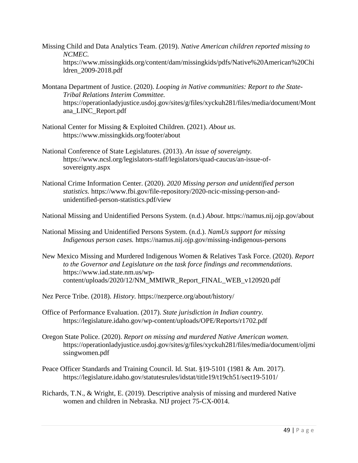- Missing Child and Data Analytics Team. (2019). *Native American children reported missing to NCMEC.*  https://www.missingkids.org/content/dam/missingkids/pdfs/Native%20American%20Chi ldren\_2009-2018.pdf
- Montana Department of Justice. (2020). *Looping in Native communities: Report to the State-Tribal Relations Interim Committee.*  https://operationladyjustice.usdoj.gov/sites/g/files/xyckuh281/files/media/document/Mont ana\_LINC\_Report.pdf
- National Center for Missing & Exploited Children. (2021). *About us*. https://www.missingkids.org/footer/about
- National Conference of State Legislatures. (2013). *An issue of sovereignty.*  https://www.ncsl.org/legislators-staff/legislators/quad-caucus/an-issue-ofsovereignty.aspx
- National Crime Information Center. (2020). *2020 Missing person and unidentified person statistics.* https://www.fbi.gov/file-repository/2020-ncic-missing-person-andunidentified-person-statistics.pdf/view

National Missing and Unidentified Persons System. (n.d.) *About*. https://namus.nij.ojp.gov/about

National Missing and Unidentified Persons System. (n.d.). *NamUs support for missing Indigenous person cases.* https://namus.nij.ojp.gov/missing-indigenous-persons

New Mexico Missing and Murdered Indigenous Women & Relatives Task Force. (2020). *Report to the Governor and Legislature on the task force findings and recommendations*. https://www.iad.state.nm.us/wpcontent/uploads/2020/12/NM\_MMIWR\_Report\_FINAL\_WEB\_v120920.pdf

Nez Perce Tribe. (2018). *History.* https://nezperce.org/about/history/

- Office of Performance Evaluation. (2017). *State jurisdiction in Indian country.* https://legislature.idaho.gov/wp-content/uploads/OPE/Reports/r1702.pdf
- Oregon State Police. (2020). *Report on missing and murdered Native American women.*  https://operationladyjustice.usdoj.gov/sites/g/files/xyckuh281/files/media/document/oljmi ssingwomen.pdf
- Peace Officer Standards and Training Council. Id. Stat. §19-5101 (1981 & Am. 2017). https://legislature.idaho.gov/statutesrules/idstat/title19/t19ch51/sect19-5101/
- Richards, T.N., & Wright, E. (2019). Descriptive analysis of missing and murdered Native women and children in Nebraska. NIJ project 75-CX-0014.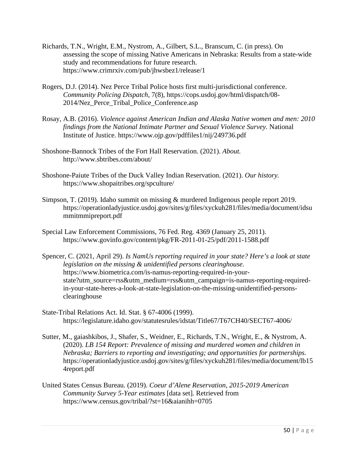- Richards, T.N., Wright, E.M., Nystrom, A., Gilbert, S.L., Branscum, C. (in press). On assessing the scope of missing Native Americans in Nebraska: Results from a state-wide study and recommendations for future research. https://www.crimrxiv.com/pub/jhwsbez1/release/1
- Rogers, D.J. (2014). Nez Perce Tribal Police hosts first multi-jurisdictional conference. *Community Policing Dispatch*, 7(8), https://cops.usdoj.gov/html/dispatch/08- 2014/Nez\_Perce\_Tribal\_Police\_Conference.asp
- Rosay, A.B. (2016). *Violence against American Indian and Alaska Native women and men: 2010 findings from the National Intimate Partner and Sexual Violence Survey.* National Institute of Justice. https://www.ojp.gov/pdffiles1/nij/249736.pdf
- Shoshone-Bannock Tribes of the Fort Hall Reservation. (2021). *About.* http://www.sbtribes.com/about/
- Shoshone-Paiute Tribes of the Duck Valley Indian Reservation. (2021). *Our history.* https://www.shopaitribes.org/spculture/
- Simpson, T. (2019). Idaho summit on missing & murdered Indigenous people report 2019. https://operationladyjustice.usdoj.gov/sites/g/files/xyckuh281/files/media/document/idsu mmitmmipreport.pdf
- Special Law Enforcement Commissions, 76 Fed. Reg. 4369 (January 25, 2011). https://www.govinfo.gov/content/pkg/FR-2011-01-25/pdf/2011-1588.pdf
- Spencer, C. (2021, April 29). *Is NamUs reporting required in your state? Here's a look at state legislation on the missing & unidentified persons clearinghouse*. https://www.biometrica.com/is-namus-reporting-required-in-yourstate?utm\_source=rss&utm\_medium=rss&utm\_campaign=is-namus-reporting-requiredin-your-state-heres-a-look-at-state-legislation-on-the-missing-unidentified-personsclearinghouse
- State-Tribal Relations Act. Id. Stat. § 67-4006 (1999). https://legislature.idaho.gov/statutesrules/idstat/Title67/T67CH40/SECT67-4006/
- Sutter, M., gaiashkibos, J., Shafer, S., Weidner, E., Richards, T.N., Wright, E., & Nystrom, A. (2020). *LB 154 Report: Prevalence of missing and murdered women and children in Nebraska; Barriers to reporting and investigating; and opportunities for partnerships.* https://operationladyjustice.usdoj.gov/sites/g/files/xyckuh281/files/media/document/lb15 4report.pdf
- United States Census Bureau. (2019). *Coeur d'Alene Reservation, 2015-2019 American Community Survey 5-Year estimates* [data set]*.* Retrieved from https://www.census.gov/tribal/?st=16&aianihh=0705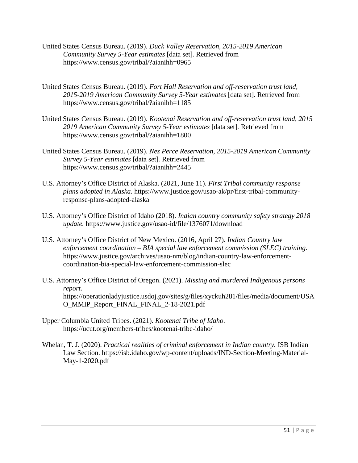- United States Census Bureau. (2019). *Duck Valley Reservation, 2015-2019 American Community Survey 5-Year estimates* [data set]*.* Retrieved from https://www.census.gov/tribal/?aianihh=0965
- United States Census Bureau. (2019). *Fort Hall Reservation and off-reservation trust land, 2015-2019 American Community Survey 5-Year estimates* [data set]*.* Retrieved from https://www.census.gov/tribal/?aianihh=1185
- United States Census Bureau. (2019). *Kootenai Reservation and off-reservation trust land, 2015 2019 American Community Survey 5-Year estimates* [data set]*.* Retrieved from https://www.census.gov/tribal/?aianihh=1800
- United States Census Bureau. (2019). *Nez Perce Reservation, 2015-2019 American Community Survey 5-Year estimates* [data set]*.* Retrieved from https://www.census.gov/tribal/?aianihh=2445
- U.S. Attorney's Office District of Alaska. (2021, June 11). *First Tribal community response plans adopted in Alaska*. https://www.justice.gov/usao-ak/pr/first-tribal-communityresponse-plans-adopted-alaska
- U.S. Attorney's Office District of Idaho (2018). *Indian country community safety strategy 2018 update.* https://www.justice.gov/usao-id/file/1376071/download
- U.S. Attorney's Office District of New Mexico. (2016, April 27). *Indian Country law enforcement coordination – BIA special law enforcement commission (SLEC) training*. https://www.justice.gov/archives/usao-nm/blog/indian-country-law-enforcementcoordination-bia-special-law-enforcement-commission-slec
- U.S. Attorney's Office District of Oregon. (2021). *Missing and murdered Indigenous persons report.* https://operationladyjustice.usdoj.gov/sites/g/files/xyckuh281/files/media/document/USA O\_MMIP\_Report\_FINAL\_FINAL\_2-18-2021.pdf
- Upper Columbia United Tribes. (2021). *Kootenai Tribe of Idaho*. https://ucut.org/members-tribes/kootenai-tribe-idaho/
- Whelan, T. J. (2020). *Practical realities of criminal enforcement in Indian country.* ISB Indian Law Section. https://isb.idaho.gov/wp-content/uploads/IND-Section-Meeting-Material-May-1-2020.pdf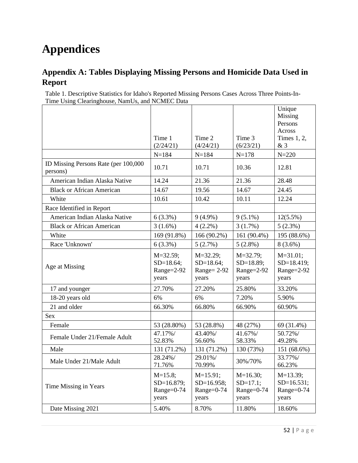## <span id="page-56-0"></span>**Appendices**

### <span id="page-56-1"></span>**Appendix A: Tables Displaying Missing Persons and Homicide Data Used in Report**

Table 1. Descriptive Statistics for Idaho's Reported Missing Persons Cases Across Three Points-In-Time Using Clearinghouse, NamUs, and NCMEC Data

|                                                  |                                                    |                                                        |                                                     | Unique<br>Missing<br>Persons                         |
|--------------------------------------------------|----------------------------------------------------|--------------------------------------------------------|-----------------------------------------------------|------------------------------------------------------|
|                                                  |                                                    |                                                        |                                                     | Across                                               |
|                                                  | Time 1                                             | Time 2                                                 | Time 3                                              | Times $1, 2,$                                        |
|                                                  | (2/24/21)                                          | (4/24/21)                                              | (6/23/21)                                           | &3                                                   |
|                                                  | $N = 184$                                          | $N = 184$                                              | $N = 178$                                           | $N = 220$                                            |
| ID Missing Persons Rate (per 100,000<br>persons) | 10.71                                              | 10.71                                                  | 10.36                                               | 12.81                                                |
| American Indian Alaska Native                    | 14.24                                              | 21.36                                                  | 21.36                                               | 28.48                                                |
| <b>Black or African American</b>                 | 14.67                                              | 19.56                                                  | 14.67                                               | 24.45                                                |
| White                                            | 10.61                                              | 10.42                                                  | 10.11                                               | 12.24                                                |
| Race Identified in Report                        |                                                    |                                                        |                                                     |                                                      |
| American Indian Alaska Native                    | 6(3.3%)                                            | $9(4.9\%)$                                             | $9(5.1\%)$                                          | $12(5.5\%)$                                          |
| <b>Black or African American</b>                 | $3(1.6\%)$                                         | $4(2.2\%)$                                             | $3(1.7\%)$                                          | 5(2.3%)                                              |
| White                                            | 169 (91.8%)                                        | 166 (90.2%)                                            | 161 (90.4%)                                         | 195 (88.6%)                                          |
| Race 'Unknown'                                   | $6(3.3\%)$                                         | 5(2.7%)                                                | $5(2.8\%)$                                          | $8(3.6\%)$                                           |
| Age at Missing                                   | $M = 32.59;$<br>$SD=18.64;$<br>Range=2-92<br>years | $M = 32.29$ ;<br>$SD=18.64;$<br>Range= $2-92$<br>years | $M = 32.79$ ;<br>$SD=18.89;$<br>Range=2-92<br>years | $M = 31.01$ ;<br>$SD=18.419;$<br>Range=2-92<br>years |
| 17 and younger                                   | 27.70%                                             | 27.20%                                                 | 25.80%                                              | 33.20%                                               |
| 18-20 years old                                  | 6%                                                 | 6%                                                     | 7.20%                                               | 5.90%                                                |
| 21 and older                                     | 66.30%                                             | 66.80%                                                 | 66.90%                                              | 60.90%                                               |
| <b>Sex</b>                                       |                                                    |                                                        |                                                     |                                                      |
| Female                                           | 53 (28.80%)                                        | 53 (28.8%)                                             | 48 (27%)                                            | 69 (31.4%)                                           |
| Female Under 21/Female Adult                     | 47.17%/<br>52.83%                                  | 43.40%/<br>56.60%                                      | 41.67%/<br>58.33%                                   | 50.72%/<br>49.28%                                    |
| Male                                             | 131 (71.2%)                                        | 131 (71.2%)                                            | 130 (73%)                                           | 151 (68.6%)                                          |
| Male Under 21/Male Adult                         | 28.24%/<br>71.76%                                  | 29.01%/<br>70.99%                                      | 30%/70%                                             | 33.77%/<br>66.23%                                    |
| Time Missing in Years                            | $M=15.8;$<br>SD=16.879;<br>$Range=0-74$<br>years   | $M=15.91;$<br>$SD=16.958;$<br>Range=0-74<br>years      | $M=16.30;$<br>$SD=17.1;$<br>Range=0-74<br>years     | $M=13.39;$<br>$SD=16.531;$<br>Range=0-74<br>years    |
| Date Missing 2021                                | 5.40%                                              | 8.70%                                                  | 11.80%                                              | 18.60%                                               |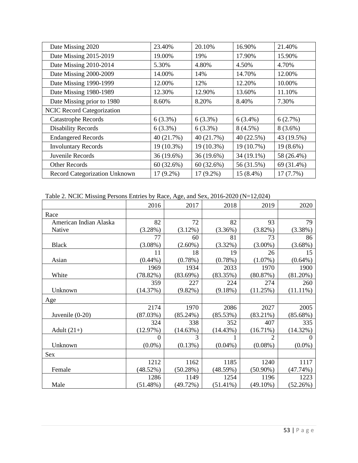| Date Missing 2020                 | 23.40%      | 20.10%      | 16.90%     | 21.40%     |
|-----------------------------------|-------------|-------------|------------|------------|
| Date Missing 2015-2019            | 19.00%      | 19%         | 17.90%     | 15.90%     |
| Date Missing 2010-2014            | 5.30%       | 4.80%       | 4.50%      | 4.70%      |
| Date Missing 2000-2009            | 14.00%      | 14%         | 14.70%     | 12.00%     |
| Date Missing 1990-1999            | 12.00%      | 12%         | 12.20%     | 10.00%     |
| Date Missing 1980-1989            | 12.30%      | 12.90%      | 13.60%     | 11.10%     |
| Date Missing prior to 1980        | 8.60%       | 8.20%       | 8.40%      | 7.30%      |
| <b>NCIC Record Categorization</b> |             |             |            |            |
| <b>Catastrophe Records</b>        | $6(3.3\%)$  | $6(3.3\%)$  | $6(3.4\%)$ | 6(2.7%)    |
| <b>Disability Records</b>         | $6(3.3\%)$  | $6(3.3\%)$  | $8(4.5\%)$ | $8(3.6\%)$ |
| <b>Endangered Records</b>         | 40(21.7%)   | 40 (21.7%)  | 40(22.5%)  | 43 (19.5%) |
| <b>Involuntary Records</b>        | 19 (10.3%)  | 19 (10.3%)  | 19 (10.7%) | 19 (8.6%)  |
| Juvenile Records                  | 36 (19.6%)  | 36 (19.6%)  | 34 (19.1%) | 58 (26.4%) |
| <b>Other Records</b>              | 60(32.6%)   | 60(32.6%)   | 56 (31.5%) | 69 (31.4%) |
| Record Categorization Unknown     | $17(9.2\%)$ | $17(9.2\%)$ | 15 (8.4%)  | 17(7.7%)   |

Table 2. NCIC Missing Persons Entries by Race, Age, and Sex, 2016-2020 (N=12,024)

|                        | 2016       | 2017        | 2018        | 2019        | 2020        |
|------------------------|------------|-------------|-------------|-------------|-------------|
| Race                   |            |             |             |             |             |
| American Indian Alaska | 82         | 72          | 82          | 93          | 79          |
| Native                 | (3.28%)    | $(3.12\%)$  | (3.36%)     | $(3.82\%)$  | (3.38%)     |
|                        | 77         | 60          | 81          | 73          | 86          |
| <b>Black</b>           | $(3.08\%)$ | $(2.60\%)$  | $(3.32\%)$  | $(3.00\%)$  | $(3.68\%)$  |
|                        | 11         | 18          | 19          | 26          | 15          |
| Asian                  | $(0.44\%)$ | (0.78%)     | (0.78%)     | $(1.07\%)$  | $(0.64\%)$  |
|                        | 1969       | 1934        | 2033        | 1970        | 1900        |
| White                  | (78.82%)   | (83.69%)    | (83.35%)    | (80.87%)    | $(81.20\%)$ |
|                        | 359        | 227         | 224         | 274         | 260         |
| Unknown                | (14.37%)   | $(9.82\%)$  | $(9.18\%)$  | (11.25%)    | $(11.11\%)$ |
| Age                    |            |             |             |             |             |
|                        | 2174       | 1970        | 2086        | 2027        | 2005        |
| Juvenile $(0-20)$      | (87.03%)   | $(85.24\%)$ | (85.53%)    | $(83.21\%)$ | (85.68%)    |
|                        | 324        | 338         | 352         | 407         | 335         |
| Adult $(21+)$          | (12.97%)   | (14.63%)    | (14.43%)    | $(16.71\%)$ | (14.32%)    |
|                        | $\theta$   | 3           |             | 2           | 0           |
| Unknown                | $(0.0\%)$  | (0.13%)     | $(0.04\%)$  | $(0.08\%)$  | $(0.0\%)$   |
| Sex                    |            |             |             |             |             |
|                        | 1212       | 1162        | 1185        | 1240        | 1117        |
| Female                 | (48.52%)   | (50.28%)    | (48.59%)    | $(50.90\%)$ | (47.74%)    |
|                        | 1286       | 1149        | 1254        | 1196        | 1223        |
| Male                   | (51.48%)   | (49.72%)    | $(51.41\%)$ | $(49.10\%)$ | (52.26%)    |